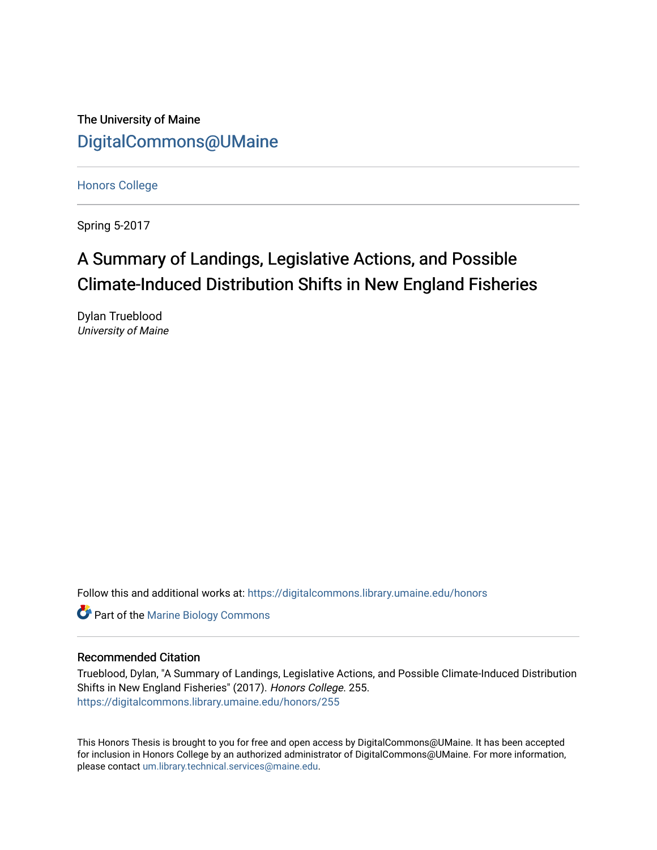The University of Maine [DigitalCommons@UMaine](https://digitalcommons.library.umaine.edu/)

[Honors College](https://digitalcommons.library.umaine.edu/honors)

Spring 5-2017

# A Summary of Landings, Legislative Actions, and Possible Climate-Induced Distribution Shifts in New England Fisheries

Dylan Trueblood University of Maine

Follow this and additional works at: [https://digitalcommons.library.umaine.edu/honors](https://digitalcommons.library.umaine.edu/honors?utm_source=digitalcommons.library.umaine.edu%2Fhonors%2F255&utm_medium=PDF&utm_campaign=PDFCoverPages) 

**Part of the Marine Biology Commons** 

#### Recommended Citation

Trueblood, Dylan, "A Summary of Landings, Legislative Actions, and Possible Climate-Induced Distribution Shifts in New England Fisheries" (2017). Honors College. 255. [https://digitalcommons.library.umaine.edu/honors/255](https://digitalcommons.library.umaine.edu/honors/255?utm_source=digitalcommons.library.umaine.edu%2Fhonors%2F255&utm_medium=PDF&utm_campaign=PDFCoverPages) 

This Honors Thesis is brought to you for free and open access by DigitalCommons@UMaine. It has been accepted for inclusion in Honors College by an authorized administrator of DigitalCommons@UMaine. For more information, please contact [um.library.technical.services@maine.edu.](mailto:um.library.technical.services@maine.edu)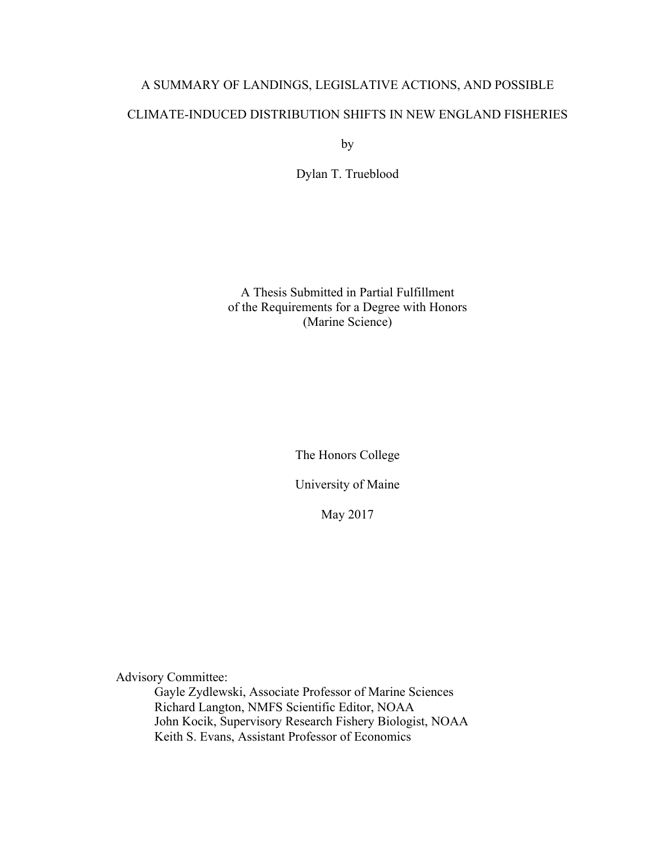# A SUMMARY OF LANDINGS, LEGISLATIVE ACTIONS, AND POSSIBLE CLIMATE-INDUCED DISTRIBUTION SHIFTS IN NEW ENGLAND FISHERIES

by

Dylan T. Trueblood

A Thesis Submitted in Partial Fulfillment of the Requirements for a Degree with Honors (Marine Science)

The Honors College

University of Maine

May 2017

Advisory Committee:

Gayle Zydlewski, Associate Professor of Marine Sciences Richard Langton, NMFS Scientific Editor, NOAA John Kocik, Supervisory Research Fishery Biologist, NOAA Keith S. Evans, Assistant Professor of Economics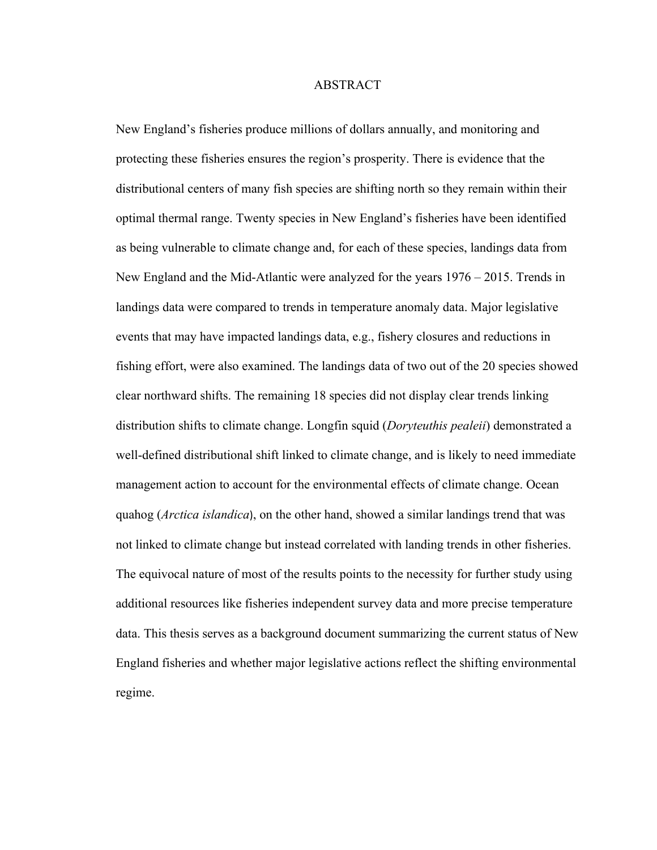#### ABSTRACT

New England's fisheries produce millions of dollars annually, and monitoring and protecting these fisheries ensures the region's prosperity. There is evidence that the distributional centers of many fish species are shifting north so they remain within their optimal thermal range. Twenty species in New England's fisheries have been identified as being vulnerable to climate change and, for each of these species, landings data from New England and the Mid-Atlantic were analyzed for the years 1976 – 2015. Trends in landings data were compared to trends in temperature anomaly data. Major legislative events that may have impacted landings data, e.g., fishery closures and reductions in fishing effort, were also examined. The landings data of two out of the 20 species showed clear northward shifts. The remaining 18 species did not display clear trends linking distribution shifts to climate change. Longfin squid (*Doryteuthis pealeii*) demonstrated a well-defined distributional shift linked to climate change, and is likely to need immediate management action to account for the environmental effects of climate change. Ocean quahog (*Arctica islandica*), on the other hand, showed a similar landings trend that was not linked to climate change but instead correlated with landing trends in other fisheries. The equivocal nature of most of the results points to the necessity for further study using additional resources like fisheries independent survey data and more precise temperature data. This thesis serves as a background document summarizing the current status of New England fisheries and whether major legislative actions reflect the shifting environmental regime.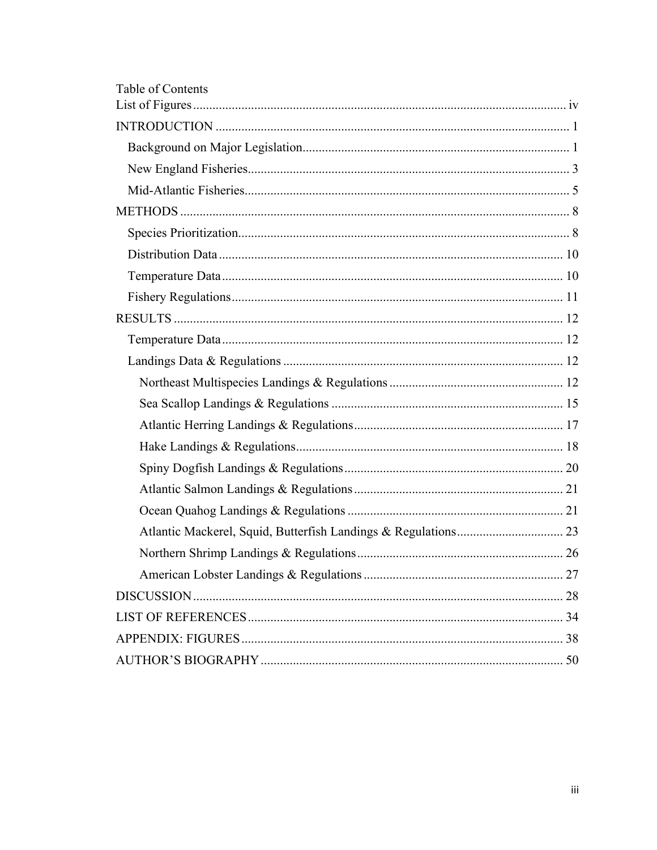| Table of Contents |  |
|-------------------|--|
|                   |  |
|                   |  |
|                   |  |
|                   |  |
|                   |  |
|                   |  |
|                   |  |
|                   |  |
|                   |  |
|                   |  |
|                   |  |
|                   |  |
|                   |  |
|                   |  |
|                   |  |
|                   |  |
|                   |  |
|                   |  |
|                   |  |
|                   |  |
|                   |  |
|                   |  |
|                   |  |
|                   |  |
|                   |  |
|                   |  |
|                   |  |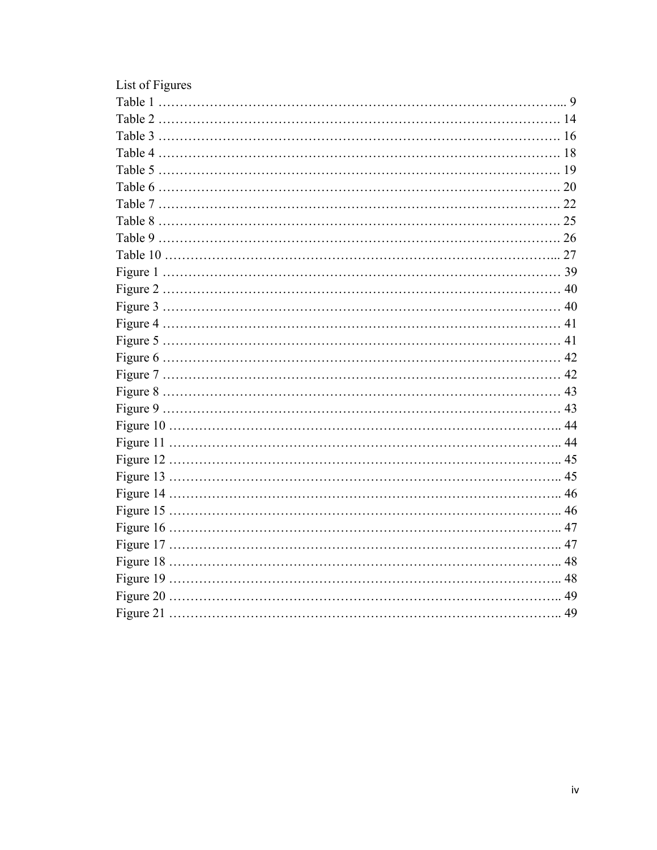| List of Figures |  |
|-----------------|--|
|                 |  |
|                 |  |
|                 |  |
|                 |  |
|                 |  |
|                 |  |
|                 |  |
|                 |  |
|                 |  |
|                 |  |
|                 |  |
|                 |  |
|                 |  |
|                 |  |
|                 |  |
|                 |  |
|                 |  |
|                 |  |
|                 |  |
|                 |  |
|                 |  |
|                 |  |
|                 |  |
|                 |  |
|                 |  |
|                 |  |
|                 |  |
|                 |  |
|                 |  |
|                 |  |
|                 |  |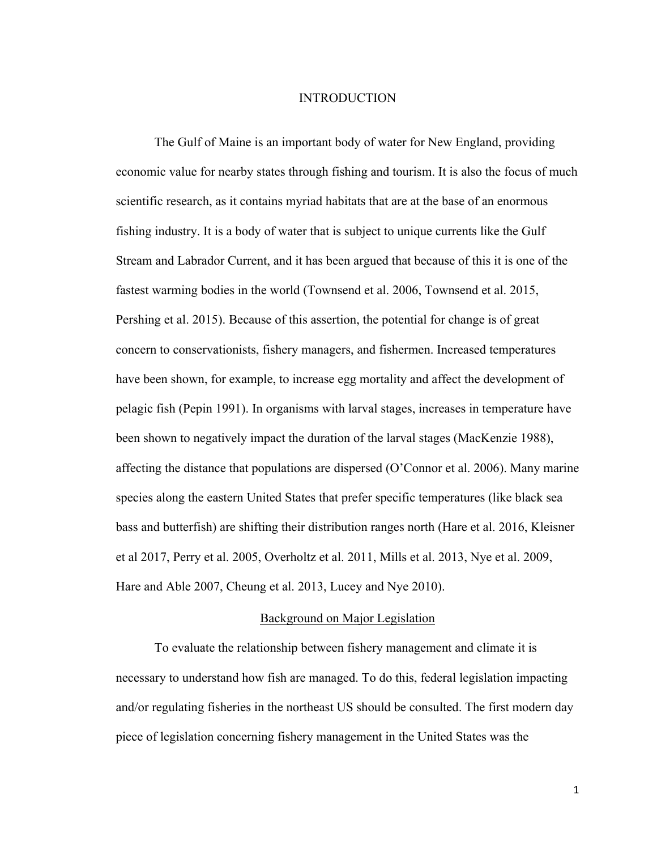#### INTRODUCTION

The Gulf of Maine is an important body of water for New England, providing economic value for nearby states through fishing and tourism. It is also the focus of much scientific research, as it contains myriad habitats that are at the base of an enormous fishing industry. It is a body of water that is subject to unique currents like the Gulf Stream and Labrador Current, and it has been argued that because of this it is one of the fastest warming bodies in the world (Townsend et al. 2006, Townsend et al. 2015, Pershing et al. 2015). Because of this assertion, the potential for change is of great concern to conservationists, fishery managers, and fishermen. Increased temperatures have been shown, for example, to increase egg mortality and affect the development of pelagic fish (Pepin 1991). In organisms with larval stages, increases in temperature have been shown to negatively impact the duration of the larval stages (MacKenzie 1988), affecting the distance that populations are dispersed (O'Connor et al. 2006). Many marine species along the eastern United States that prefer specific temperatures (like black sea bass and butterfish) are shifting their distribution ranges north (Hare et al. 2016, Kleisner et al 2017, Perry et al. 2005, Overholtz et al. 2011, Mills et al. 2013, Nye et al. 2009, Hare and Able 2007, Cheung et al. 2013, Lucey and Nye 2010).

#### Background on Major Legislation

To evaluate the relationship between fishery management and climate it is necessary to understand how fish are managed. To do this, federal legislation impacting and/or regulating fisheries in the northeast US should be consulted. The first modern day piece of legislation concerning fishery management in the United States was the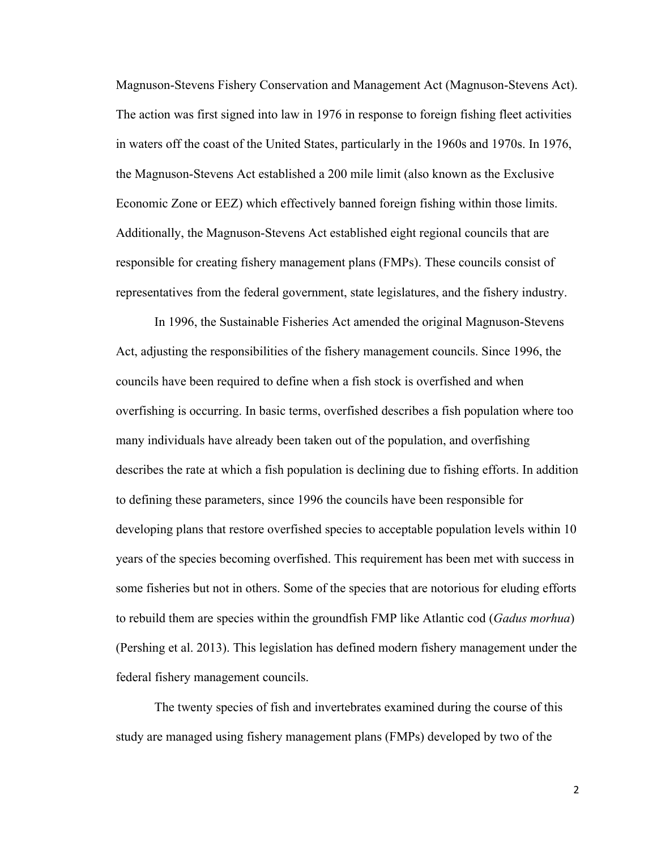Magnuson-Stevens Fishery Conservation and Management Act (Magnuson-Stevens Act). The action was first signed into law in 1976 in response to foreign fishing fleet activities in waters off the coast of the United States, particularly in the 1960s and 1970s. In 1976, the Magnuson-Stevens Act established a 200 mile limit (also known as the Exclusive Economic Zone or EEZ) which effectively banned foreign fishing within those limits. Additionally, the Magnuson-Stevens Act established eight regional councils that are responsible for creating fishery management plans (FMPs). These councils consist of representatives from the federal government, state legislatures, and the fishery industry.

In 1996, the Sustainable Fisheries Act amended the original Magnuson-Stevens Act, adjusting the responsibilities of the fishery management councils. Since 1996, the councils have been required to define when a fish stock is overfished and when overfishing is occurring. In basic terms, overfished describes a fish population where too many individuals have already been taken out of the population, and overfishing describes the rate at which a fish population is declining due to fishing efforts. In addition to defining these parameters, since 1996 the councils have been responsible for developing plans that restore overfished species to acceptable population levels within 10 years of the species becoming overfished. This requirement has been met with success in some fisheries but not in others. Some of the species that are notorious for eluding efforts to rebuild them are species within the groundfish FMP like Atlantic cod (*Gadus morhua*) (Pershing et al. 2013). This legislation has defined modern fishery management under the federal fishery management councils.

The twenty species of fish and invertebrates examined during the course of this study are managed using fishery management plans (FMPs) developed by two of the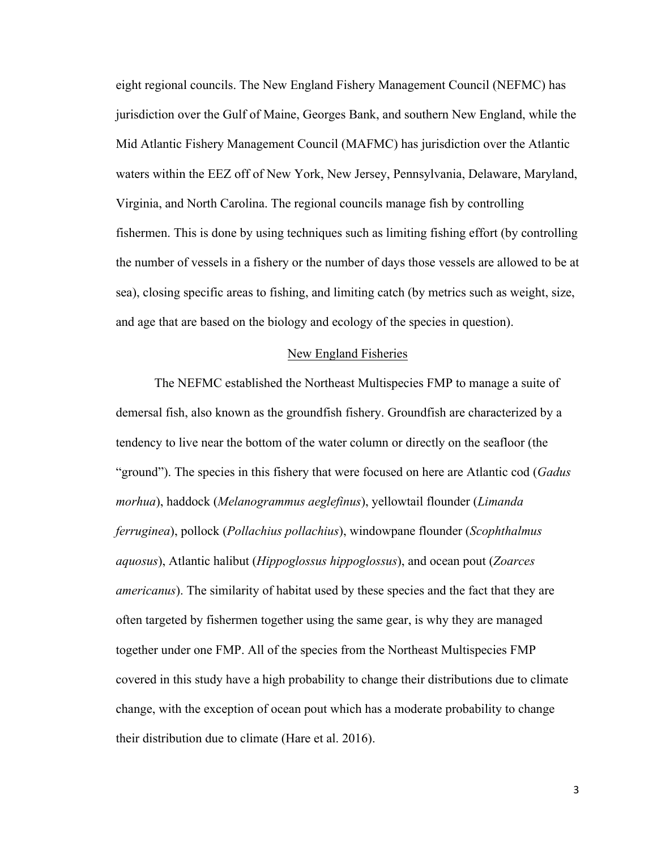eight regional councils. The New England Fishery Management Council (NEFMC) has jurisdiction over the Gulf of Maine, Georges Bank, and southern New England, while the Mid Atlantic Fishery Management Council (MAFMC) has jurisdiction over the Atlantic waters within the EEZ off of New York, New Jersey, Pennsylvania, Delaware, Maryland, Virginia, and North Carolina. The regional councils manage fish by controlling fishermen. This is done by using techniques such as limiting fishing effort (by controlling the number of vessels in a fishery or the number of days those vessels are allowed to be at sea), closing specific areas to fishing, and limiting catch (by metrics such as weight, size, and age that are based on the biology and ecology of the species in question).

#### New England Fisheries

The NEFMC established the Northeast Multispecies FMP to manage a suite of demersal fish, also known as the groundfish fishery. Groundfish are characterized by a tendency to live near the bottom of the water column or directly on the seafloor (the "ground"). The species in this fishery that were focused on here are Atlantic cod (*Gadus morhua*), haddock (*Melanogrammus aeglefinus*), yellowtail flounder (*Limanda ferruginea*), pollock (*Pollachius pollachius*), windowpane flounder (*Scophthalmus aquosus*), Atlantic halibut (*Hippoglossus hippoglossus*), and ocean pout (*Zoarces americanus*). The similarity of habitat used by these species and the fact that they are often targeted by fishermen together using the same gear, is why they are managed together under one FMP. All of the species from the Northeast Multispecies FMP covered in this study have a high probability to change their distributions due to climate change, with the exception of ocean pout which has a moderate probability to change their distribution due to climate (Hare et al. 2016).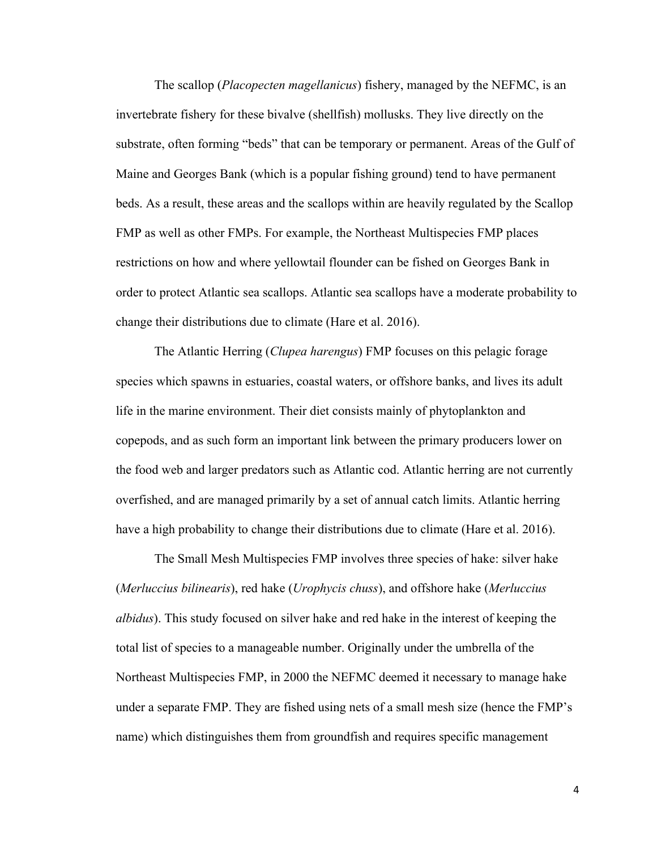The scallop (*Placopecten magellanicus*) fishery, managed by the NEFMC, is an invertebrate fishery for these bivalve (shellfish) mollusks. They live directly on the substrate, often forming "beds" that can be temporary or permanent. Areas of the Gulf of Maine and Georges Bank (which is a popular fishing ground) tend to have permanent beds. As a result, these areas and the scallops within are heavily regulated by the Scallop FMP as well as other FMPs. For example, the Northeast Multispecies FMP places restrictions on how and where yellowtail flounder can be fished on Georges Bank in order to protect Atlantic sea scallops. Atlantic sea scallops have a moderate probability to change their distributions due to climate (Hare et al. 2016).

The Atlantic Herring (*Clupea harengus*) FMP focuses on this pelagic forage species which spawns in estuaries, coastal waters, or offshore banks, and lives its adult life in the marine environment. Their diet consists mainly of phytoplankton and copepods, and as such form an important link between the primary producers lower on the food web and larger predators such as Atlantic cod. Atlantic herring are not currently overfished, and are managed primarily by a set of annual catch limits. Atlantic herring have a high probability to change their distributions due to climate (Hare et al. 2016).

The Small Mesh Multispecies FMP involves three species of hake: silver hake (*Merluccius bilinearis*), red hake (*Urophycis chuss*), and offshore hake (*Merluccius albidus*). This study focused on silver hake and red hake in the interest of keeping the total list of species to a manageable number. Originally under the umbrella of the Northeast Multispecies FMP, in 2000 the NEFMC deemed it necessary to manage hake under a separate FMP. They are fished using nets of a small mesh size (hence the FMP's name) which distinguishes them from groundfish and requires specific management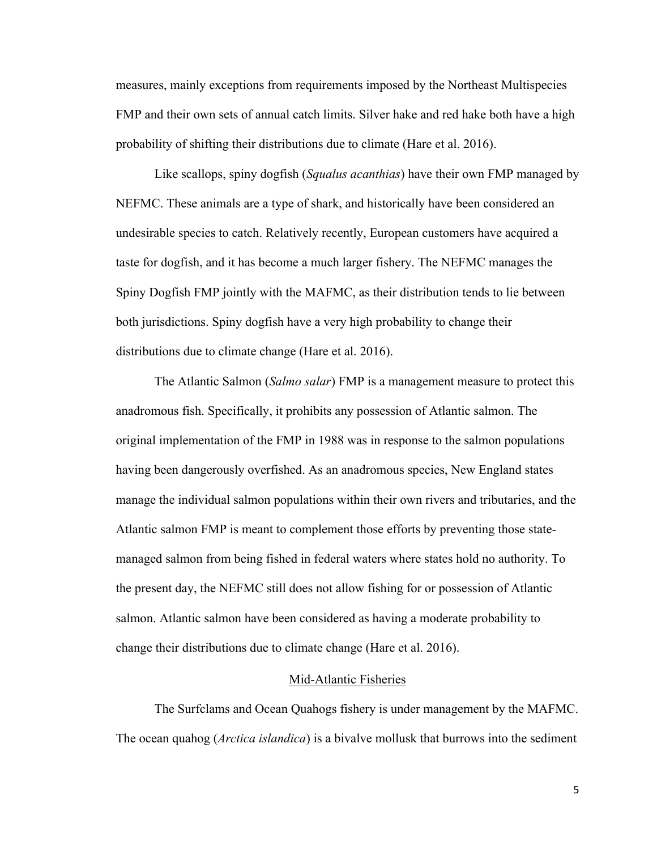measures, mainly exceptions from requirements imposed by the Northeast Multispecies FMP and their own sets of annual catch limits. Silver hake and red hake both have a high probability of shifting their distributions due to climate (Hare et al. 2016).

Like scallops, spiny dogfish (*Squalus acanthias*) have their own FMP managed by NEFMC. These animals are a type of shark, and historically have been considered an undesirable species to catch. Relatively recently, European customers have acquired a taste for dogfish, and it has become a much larger fishery. The NEFMC manages the Spiny Dogfish FMP jointly with the MAFMC, as their distribution tends to lie between both jurisdictions. Spiny dogfish have a very high probability to change their distributions due to climate change (Hare et al. 2016).

The Atlantic Salmon (*Salmo salar*) FMP is a management measure to protect this anadromous fish. Specifically, it prohibits any possession of Atlantic salmon. The original implementation of the FMP in 1988 was in response to the salmon populations having been dangerously overfished. As an anadromous species, New England states manage the individual salmon populations within their own rivers and tributaries, and the Atlantic salmon FMP is meant to complement those efforts by preventing those statemanaged salmon from being fished in federal waters where states hold no authority. To the present day, the NEFMC still does not allow fishing for or possession of Atlantic salmon. Atlantic salmon have been considered as having a moderate probability to change their distributions due to climate change (Hare et al. 2016).

#### Mid-Atlantic Fisheries

The Surfclams and Ocean Quahogs fishery is under management by the MAFMC. The ocean quahog (*Arctica islandica*) is a bivalve mollusk that burrows into the sediment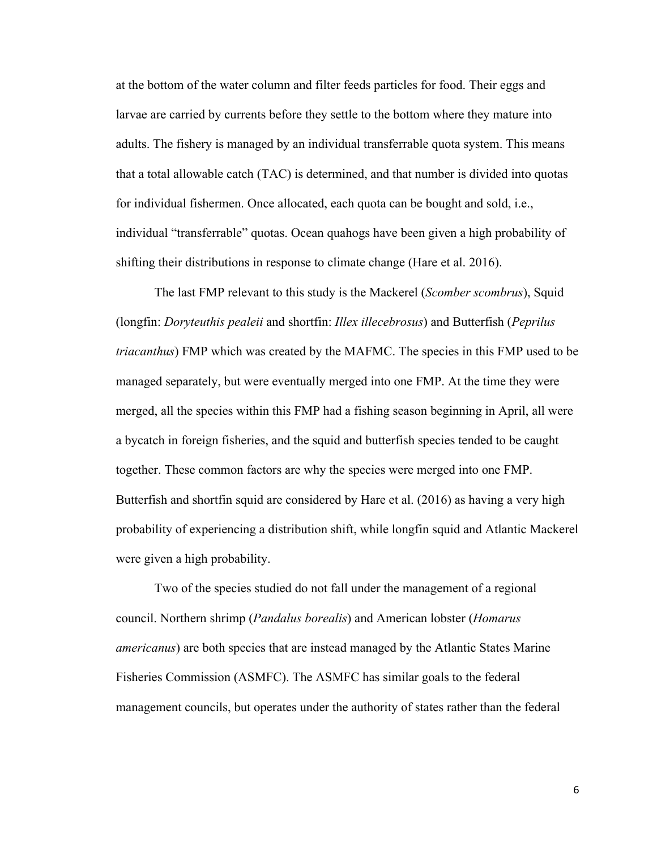at the bottom of the water column and filter feeds particles for food. Their eggs and larvae are carried by currents before they settle to the bottom where they mature into adults. The fishery is managed by an individual transferrable quota system. This means that a total allowable catch (TAC) is determined, and that number is divided into quotas for individual fishermen. Once allocated, each quota can be bought and sold, i.e., individual "transferrable" quotas. Ocean quahogs have been given a high probability of shifting their distributions in response to climate change (Hare et al. 2016).

The last FMP relevant to this study is the Mackerel (*Scomber scombrus*), Squid (longfin: *Doryteuthis pealeii* and shortfin: *Illex illecebrosus*) and Butterfish (*Peprilus triacanthus*) FMP which was created by the MAFMC. The species in this FMP used to be managed separately, but were eventually merged into one FMP. At the time they were merged, all the species within this FMP had a fishing season beginning in April, all were a bycatch in foreign fisheries, and the squid and butterfish species tended to be caught together. These common factors are why the species were merged into one FMP. Butterfish and shortfin squid are considered by Hare et al. (2016) as having a very high probability of experiencing a distribution shift, while longfin squid and Atlantic Mackerel were given a high probability.

Two of the species studied do not fall under the management of a regional council. Northern shrimp (*Pandalus borealis*) and American lobster (*Homarus americanus*) are both species that are instead managed by the Atlantic States Marine Fisheries Commission (ASMFC). The ASMFC has similar goals to the federal management councils, but operates under the authority of states rather than the federal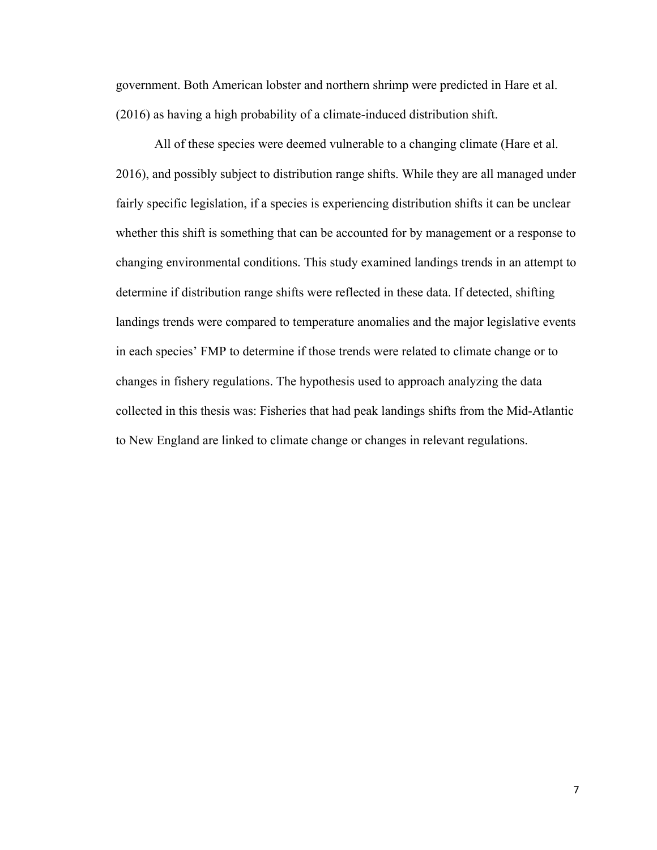government. Both American lobster and northern shrimp were predicted in Hare et al. (2016) as having a high probability of a climate-induced distribution shift.

All of these species were deemed vulnerable to a changing climate (Hare et al. 2016), and possibly subject to distribution range shifts. While they are all managed under fairly specific legislation, if a species is experiencing distribution shifts it can be unclear whether this shift is something that can be accounted for by management or a response to changing environmental conditions. This study examined landings trends in an attempt to determine if distribution range shifts were reflected in these data. If detected, shifting landings trends were compared to temperature anomalies and the major legislative events in each species' FMP to determine if those trends were related to climate change or to changes in fishery regulations. The hypothesis used to approach analyzing the data collected in this thesis was: Fisheries that had peak landings shifts from the Mid-Atlantic to New England are linked to climate change or changes in relevant regulations.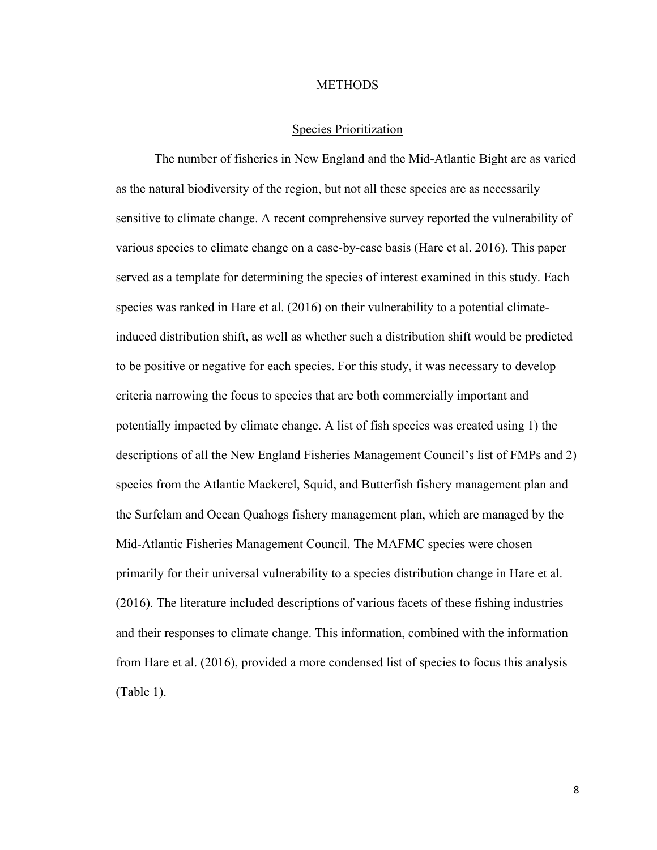#### **METHODS**

#### Species Prioritization

The number of fisheries in New England and the Mid-Atlantic Bight are as varied as the natural biodiversity of the region, but not all these species are as necessarily sensitive to climate change. A recent comprehensive survey reported the vulnerability of various species to climate change on a case-by-case basis (Hare et al. 2016). This paper served as a template for determining the species of interest examined in this study. Each species was ranked in Hare et al. (2016) on their vulnerability to a potential climateinduced distribution shift, as well as whether such a distribution shift would be predicted to be positive or negative for each species. For this study, it was necessary to develop criteria narrowing the focus to species that are both commercially important and potentially impacted by climate change. A list of fish species was created using 1) the descriptions of all the New England Fisheries Management Council's list of FMPs and 2) species from the Atlantic Mackerel, Squid, and Butterfish fishery management plan and the Surfclam and Ocean Quahogs fishery management plan, which are managed by the Mid-Atlantic Fisheries Management Council. The MAFMC species were chosen primarily for their universal vulnerability to a species distribution change in Hare et al. (2016). The literature included descriptions of various facets of these fishing industries and their responses to climate change. This information, combined with the information from Hare et al. (2016), provided a more condensed list of species to focus this analysis (Table 1).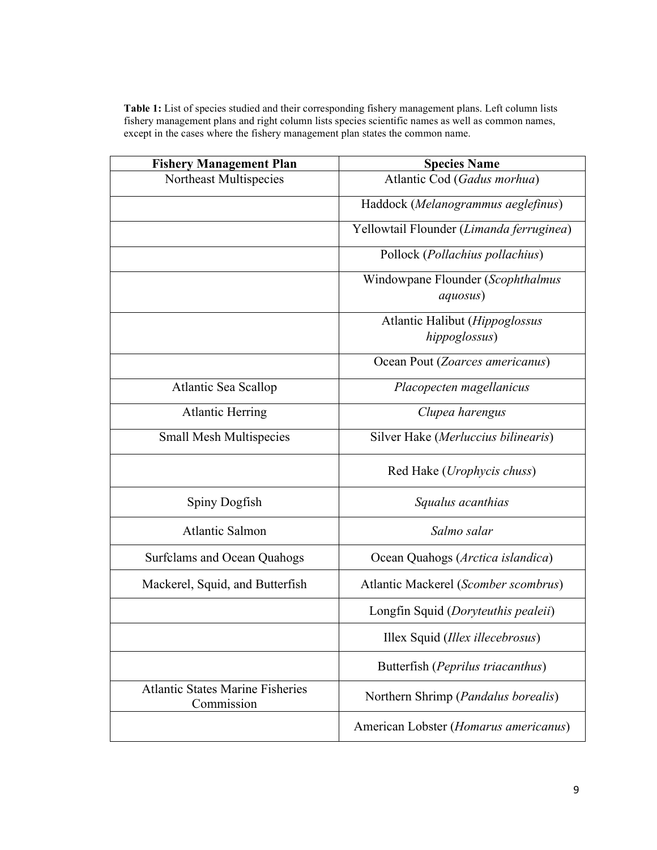| Table 1: List of species studied and their corresponding fishery management plans. Left column lists |
|------------------------------------------------------------------------------------------------------|
| fishery management plans and right column lists species scientific names as well as common names,    |
| except in the cases where the fishery management plan states the common name.                        |

| <b>Fishery Management Plan</b>                        | <b>Species Name</b>                                   |
|-------------------------------------------------------|-------------------------------------------------------|
| Northeast Multispecies                                | Atlantic Cod (Gadus morhua)                           |
|                                                       | Haddock (Melanogrammus aeglefinus)                    |
|                                                       | Yellowtail Flounder (Limanda ferruginea)              |
|                                                       | Pollock (Pollachius pollachius)                       |
|                                                       | Windowpane Flounder (Scophthalmus<br><i>aquosus</i> ) |
|                                                       | Atlantic Halibut ( <i>Hippoglossus</i>                |
|                                                       | hippoglossus)                                         |
|                                                       | Ocean Pout (Zoarces americanus)                       |
| Atlantic Sea Scallop                                  | Placopecten magellanicus                              |
| <b>Atlantic Herring</b>                               | Clupea harengus                                       |
| <b>Small Mesh Multispecies</b>                        | Silver Hake (Merluccius bilinearis)                   |
|                                                       | Red Hake ( <i>Urophycis chuss</i> )                   |
| Spiny Dogfish                                         | Squalus acanthias                                     |
| <b>Atlantic Salmon</b>                                | Salmo salar                                           |
| <b>Surfclams and Ocean Quahogs</b>                    | Ocean Quahogs (Arctica islandica)                     |
| Mackerel, Squid, and Butterfish                       | Atlantic Mackerel (Scomber scombrus)                  |
|                                                       | Longfin Squid (Doryteuthis pealeii)                   |
|                                                       | Illex Squid (Illex illecebrosus)                      |
|                                                       | Butterfish (Peprilus triacanthus)                     |
| <b>Atlantic States Marine Fisheries</b><br>Commission | Northern Shrimp (Pandalus borealis)                   |
|                                                       | American Lobster (Homarus americanus)                 |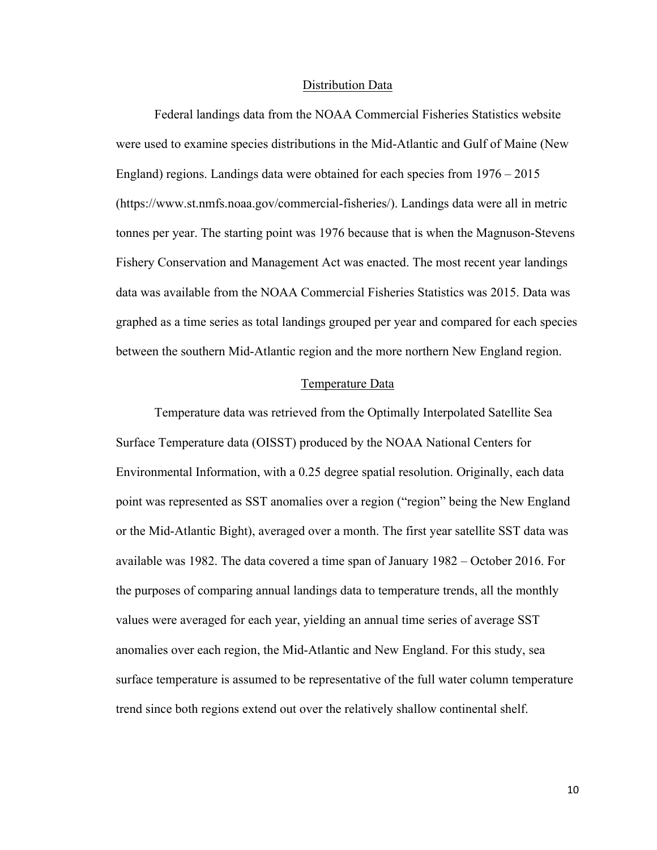#### Distribution Data

Federal landings data from the NOAA Commercial Fisheries Statistics website were used to examine species distributions in the Mid-Atlantic and Gulf of Maine (New England) regions. Landings data were obtained for each species from 1976 – 2015 (https://www.st.nmfs.noaa.gov/commercial-fisheries/). Landings data were all in metric tonnes per year. The starting point was 1976 because that is when the Magnuson-Stevens Fishery Conservation and Management Act was enacted. The most recent year landings data was available from the NOAA Commercial Fisheries Statistics was 2015. Data was graphed as a time series as total landings grouped per year and compared for each species between the southern Mid-Atlantic region and the more northern New England region.

#### Temperature Data

Temperature data was retrieved from the Optimally Interpolated Satellite Sea Surface Temperature data (OISST) produced by the NOAA National Centers for Environmental Information, with a 0.25 degree spatial resolution. Originally, each data point was represented as SST anomalies over a region ("region" being the New England or the Mid-Atlantic Bight), averaged over a month. The first year satellite SST data was available was 1982. The data covered a time span of January 1982 – October 2016. For the purposes of comparing annual landings data to temperature trends, all the monthly values were averaged for each year, yielding an annual time series of average SST anomalies over each region, the Mid-Atlantic and New England. For this study, sea surface temperature is assumed to be representative of the full water column temperature trend since both regions extend out over the relatively shallow continental shelf.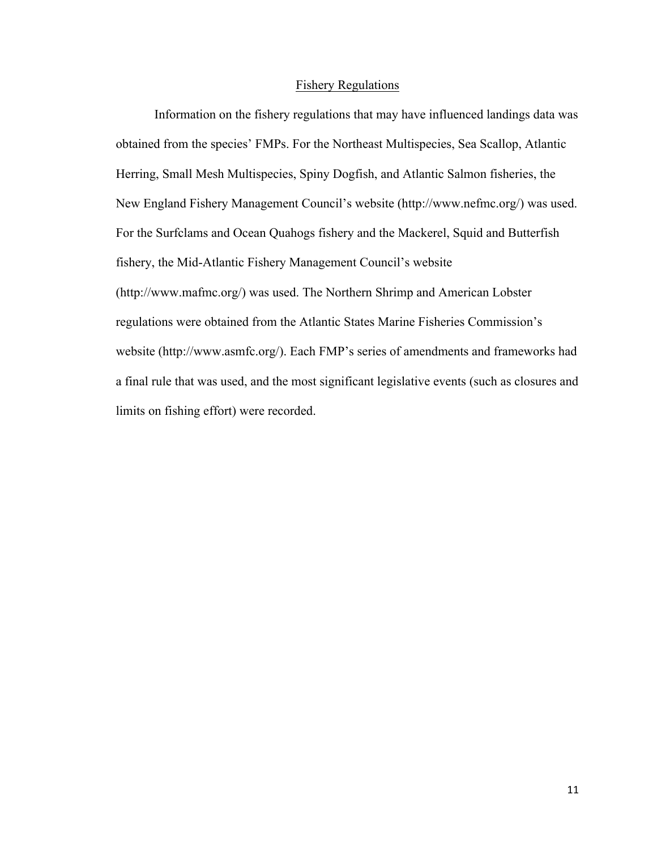#### Fishery Regulations

Information on the fishery regulations that may have influenced landings data was obtained from the species' FMPs. For the Northeast Multispecies, Sea Scallop, Atlantic Herring, Small Mesh Multispecies, Spiny Dogfish, and Atlantic Salmon fisheries, the New England Fishery Management Council's website (http://www.nefmc.org/) was used. For the Surfclams and Ocean Quahogs fishery and the Mackerel, Squid and Butterfish fishery, the Mid-Atlantic Fishery Management Council's website (http://www.mafmc.org/) was used. The Northern Shrimp and American Lobster regulations were obtained from the Atlantic States Marine Fisheries Commission's website (http://www.asmfc.org/). Each FMP's series of amendments and frameworks had a final rule that was used, and the most significant legislative events (such as closures and limits on fishing effort) were recorded.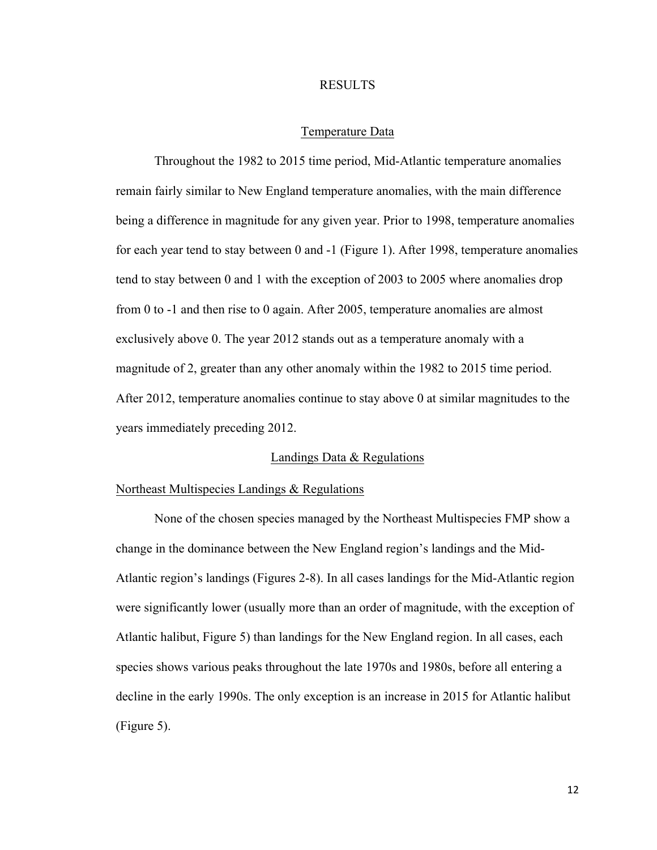#### RESULTS

#### Temperature Data

Throughout the 1982 to 2015 time period, Mid-Atlantic temperature anomalies remain fairly similar to New England temperature anomalies, with the main difference being a difference in magnitude for any given year. Prior to 1998, temperature anomalies for each year tend to stay between 0 and -1 (Figure 1). After 1998, temperature anomalies tend to stay between 0 and 1 with the exception of 2003 to 2005 where anomalies drop from 0 to -1 and then rise to 0 again. After 2005, temperature anomalies are almost exclusively above 0. The year 2012 stands out as a temperature anomaly with a magnitude of 2, greater than any other anomaly within the 1982 to 2015 time period. After 2012, temperature anomalies continue to stay above 0 at similar magnitudes to the years immediately preceding 2012.

#### Landings Data & Regulations

#### Northeast Multispecies Landings & Regulations

None of the chosen species managed by the Northeast Multispecies FMP show a change in the dominance between the New England region's landings and the Mid-Atlantic region's landings (Figures 2-8). In all cases landings for the Mid-Atlantic region were significantly lower (usually more than an order of magnitude, with the exception of Atlantic halibut, Figure 5) than landings for the New England region. In all cases, each species shows various peaks throughout the late 1970s and 1980s, before all entering a decline in the early 1990s. The only exception is an increase in 2015 for Atlantic halibut (Figure 5).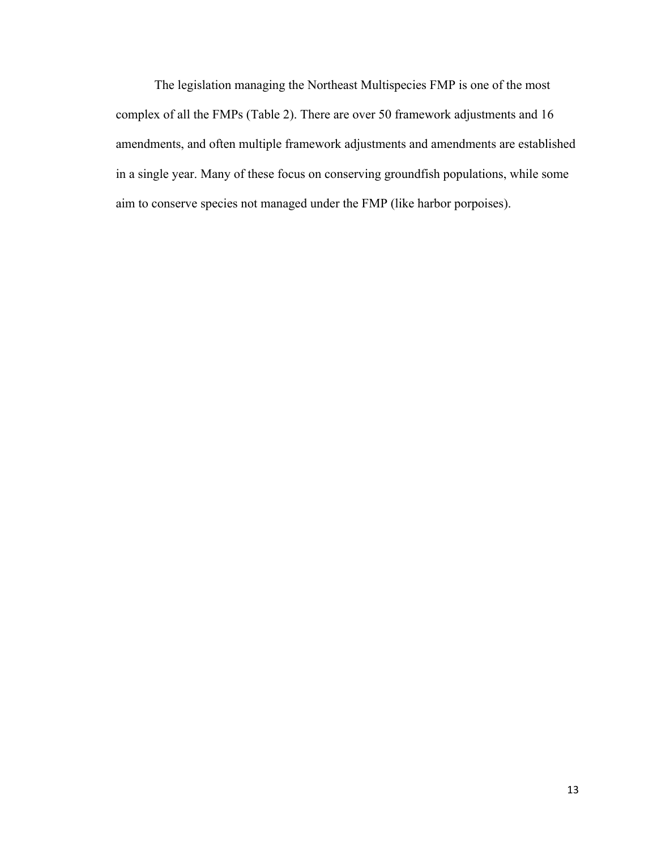The legislation managing the Northeast Multispecies FMP is one of the most complex of all the FMPs (Table 2). There are over 50 framework adjustments and 16 amendments, and often multiple framework adjustments and amendments are established in a single year. Many of these focus on conserving groundfish populations, while some aim to conserve species not managed under the FMP (like harbor porpoises).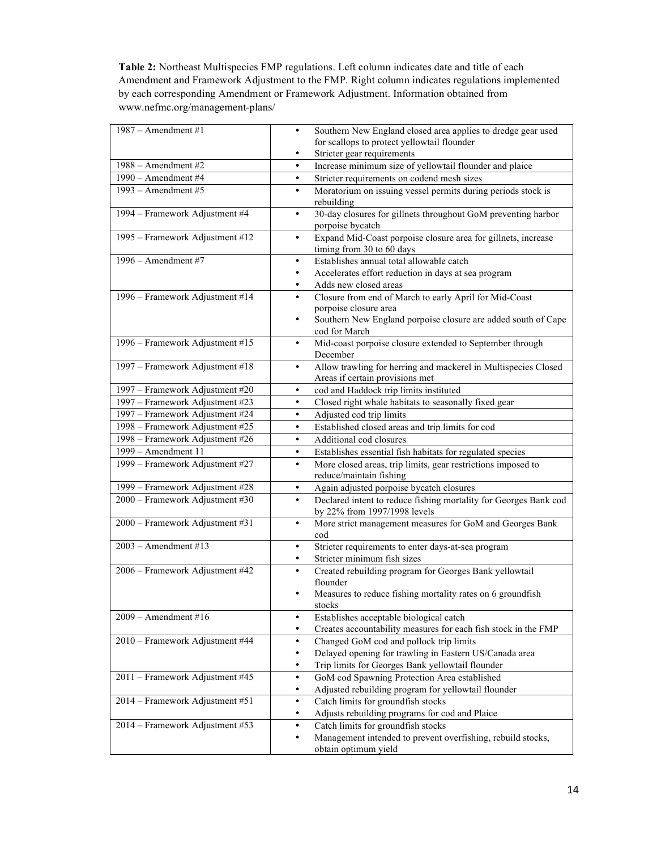**Table 2:** Northeast Multispecies FMP regulations. Left column indicates date and title of each Amendment and Framework Adjustment to the FMP. Right column indicates regulations implemented by each corresponding Amendment or Framework Adjustment. Information obtained from www.nefmc.org/management-plans/

| $1987 -$ Amendment #1           | Southern New England closed area applies to dredge gear used<br>$\bullet$                                              |
|---------------------------------|------------------------------------------------------------------------------------------------------------------------|
|                                 | for scallops to protect yellowtail flounder                                                                            |
|                                 | Stricter gear requirements<br>$\bullet$                                                                                |
| 1988 - Amendment #2             | Increase minimum size of yellowtail flounder and plaice<br>$\bullet$                                                   |
| 1990 - Amendment #4             | Stricter requirements on codend mesh sizes<br>$\bullet$                                                                |
| $1993$ – Amendment #5           | Moratorium on issuing vessel permits during periods stock is<br>$\bullet$<br>rebuilding                                |
| 1994 - Framework Adjustment #4  | 30-day closures for gillnets throughout GoM preventing harbor<br>$\bullet$<br>porpoise bycatch                         |
| 1995 - Framework Adjustment #12 | Expand Mid-Coast porpoise closure area for gillnets, increase<br>$\bullet$<br>timing from 30 to 60 days                |
| 1996 - Amendment #7             | Establishes annual total allowable catch<br>$\bullet$                                                                  |
|                                 | Accelerates effort reduction in days at sea program<br>٠                                                               |
|                                 | Adds new closed areas<br>$\bullet$                                                                                     |
| 1996 - Framework Adjustment #14 | Closure from end of March to early April for Mid-Coast                                                                 |
|                                 | porpoise closure area                                                                                                  |
|                                 | Southern New England porpoise closure are added south of Cape<br>$\bullet$<br>cod for March                            |
| 1996 - Framework Adjustment #15 | Mid-coast porpoise closure extended to September through<br>$\bullet$                                                  |
|                                 | December                                                                                                               |
| 1997 - Framework Adjustment #18 | Allow trawling for herring and mackerel in Multispecies Closed<br>$\bullet$                                            |
|                                 | Areas if certain provisions met                                                                                        |
| 1997 - Framework Adjustment #20 | cod and Haddock trip limits instituted<br>$\bullet$                                                                    |
| 1997 - Framework Adjustment #23 | Closed right whale habitats to seasonally fixed gear<br>$\bullet$                                                      |
| 1997 - Framework Adjustment #24 | Adjusted cod trip limits<br>$\bullet$                                                                                  |
| 1998 - Framework Adjustment #25 | Established closed areas and trip limits for cod<br>$\bullet$                                                          |
| 1998 – Framework Adjustment #26 | Additional cod closures<br>$\bullet$                                                                                   |
| 1999 - Amendment 11             | Establishes essential fish habitats for regulated species<br>$\bullet$                                                 |
| 1999 - Framework Adjustment #27 | More closed areas, trip limits, gear restrictions imposed to<br>$\bullet$<br>reduce/maintain fishing                   |
| 1999 - Framework Adjustment #28 | Again adjusted porpoise bycatch closures<br>$\bullet$                                                                  |
| 2000 - Framework Adjustment #30 | Declared intent to reduce fishing mortality for Georges Bank cod<br>$\bullet$<br>by 22% from 1997/1998 levels          |
| 2000 - Framework Adjustment #31 | More strict management measures for GoM and Georges Bank<br>$\bullet$<br>cod                                           |
| $2003$ – Amendment #13          | Stricter requirements to enter days-at-sea program<br>$\bullet$                                                        |
|                                 | Stricter minimum fish sizes<br>$\bullet$                                                                               |
| 2006 - Framework Adjustment #42 | Created rebuilding program for Georges Bank yellowtail<br>$\bullet$                                                    |
|                                 | flounder                                                                                                               |
|                                 | Measures to reduce fishing mortality rates on 6 groundfish<br>٠                                                        |
|                                 | stocks                                                                                                                 |
| $2009$ – Amendment #16          | Establishes acceptable biological catch<br>٠<br>٠                                                                      |
| 2010 - Framework Adjustment #44 | Creates accountability measures for each fish stock in the FMP<br>Changed GoM cod and pollock trip limits<br>$\bullet$ |
|                                 | Delayed opening for trawling in Eastern US/Canada area<br>$\bullet$                                                    |
|                                 | Trip limits for Georges Bank yellowtail flounder<br>$\bullet$                                                          |
| 2011 - Framework Adjustment #45 | GoM cod Spawning Protection Area established<br>$\bullet$                                                              |
|                                 | Adjusted rebuilding program for yellowtail flounder<br>٠                                                               |
| 2014 - Framework Adjustment #51 | Catch limits for groundfish stocks<br>$\bullet$                                                                        |
|                                 | Adjusts rebuilding programs for cod and Plaice<br>$\bullet$                                                            |
| 2014 – Framework Adjustment #53 | Catch limits for groundfish stocks<br>$\bullet$                                                                        |
|                                 | Management intended to prevent overfishing, rebuild stocks,<br>$\bullet$                                               |
|                                 | obtain optimum yield                                                                                                   |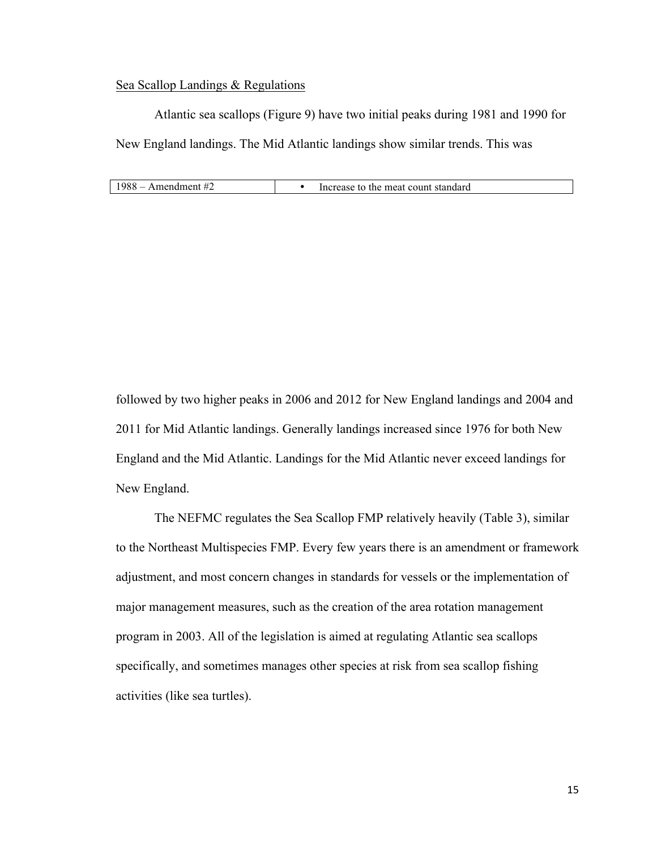#### Sea Scallop Landings & Regulations

Atlantic sea scallops (Figure 9) have two initial peaks during 1981 and 1990 for New England landings. The Mid Atlantic landings show similar trends. This was

| $1988$ – Amendment #2 | Increase to the meat count standard |
|-----------------------|-------------------------------------|
|-----------------------|-------------------------------------|

followed by two higher peaks in 2006 and 2012 for New England landings and 2004 and 2011 for Mid Atlantic landings. Generally landings increased since 1976 for both New England and the Mid Atlantic. Landings for the Mid Atlantic never exceed landings for New England.

The NEFMC regulates the Sea Scallop FMP relatively heavily (Table 3), similar to the Northeast Multispecies FMP. Every few years there is an amendment or framework adjustment, and most concern changes in standards for vessels or the implementation of major management measures, such as the creation of the area rotation management program in 2003. All of the legislation is aimed at regulating Atlantic sea scallops specifically, and sometimes manages other species at risk from sea scallop fishing activities (like sea turtles).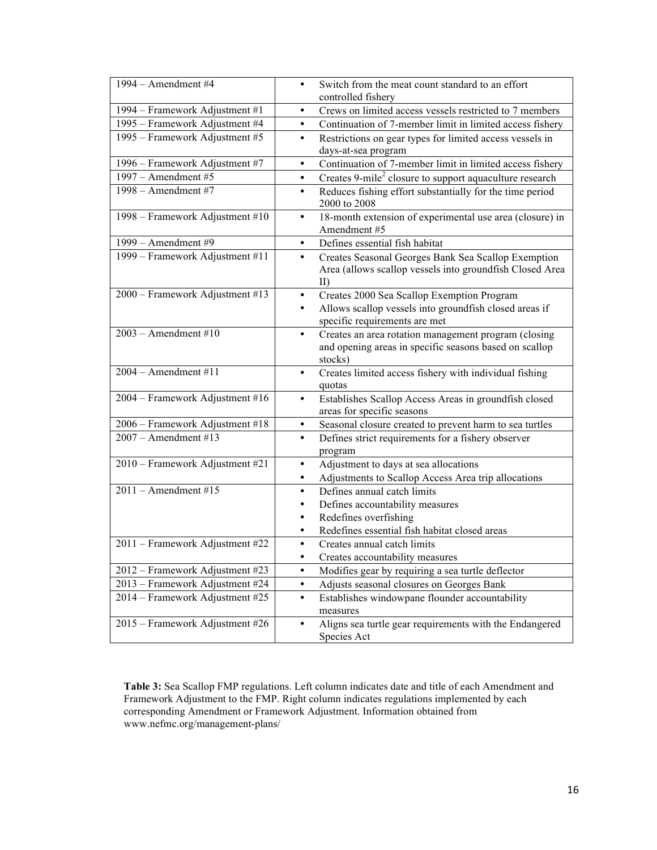| 1994 - Amendment #4             | Switch from the meat count standard to an effort<br>$\bullet$<br>controlled fishery                                                                             |
|---------------------------------|-----------------------------------------------------------------------------------------------------------------------------------------------------------------|
| 1994 – Framework Adjustment #1  | Crews on limited access vessels restricted to 7 members<br>٠                                                                                                    |
| 1995 - Framework Adjustment #4  | Continuation of 7-member limit in limited access fishery<br>$\bullet$                                                                                           |
| 1995 – Framework Adjustment #5  | Restrictions on gear types for limited access vessels in<br>$\bullet$<br>days-at-sea program                                                                    |
| 1996 - Framework Adjustment #7  | Continuation of 7-member limit in limited access fishery<br>$\bullet$                                                                                           |
| 1997 – Amendment #5             | Creates 9-mile <sup>2</sup> closure to support aquaculture research<br>$\bullet$                                                                                |
| $1998 -$ Amendment#7            | Reduces fishing effort substantially for the time period<br>$\bullet$<br>2000 to 2008                                                                           |
| 1998 – Framework Adjustment #10 | 18-month extension of experimental use area (closure) in<br>$\bullet$<br>Amendment #5                                                                           |
| 1999 - Amendment #9             | Defines essential fish habitat<br>$\bullet$                                                                                                                     |
| 1999 – Framework Adjustment #11 | Creates Seasonal Georges Bank Sea Scallop Exemption<br>$\bullet$<br>Area (allows scallop vessels into groundfish Closed Area<br>$\rm{II}$                       |
| 2000 - Framework Adjustment #13 | Creates 2000 Sea Scallop Exemption Program<br>$\bullet$<br>Allows scallop vessels into groundfish closed areas if<br>$\bullet$<br>specific requirements are met |
| $2003$ – Amendment #10          | Creates an area rotation management program (closing<br>$\bullet$<br>and opening areas in specific seasons based on scallop<br>stocks)                          |
| $2004 -$ Amendment#11           | Creates limited access fishery with individual fishing<br>$\bullet$<br>quotas                                                                                   |
| 2004 - Framework Adjustment #16 | Establishes Scallop Access Areas in groundfish closed<br>٠<br>areas for specific seasons                                                                        |
| 2006 - Framework Adjustment #18 | Seasonal closure created to prevent harm to sea turtles<br>٠                                                                                                    |
| $2007 -$ Amendment #13          | Defines strict requirements for a fishery observer<br>$\bullet$<br>program                                                                                      |
| 2010 - Framework Adjustment #21 | Adjustment to days at sea allocations<br>$\bullet$                                                                                                              |
|                                 | Adjustments to Scallop Access Area trip allocations<br>٠                                                                                                        |
| $2011 -$ Amendment #15          | Defines annual catch limits<br>$\bullet$                                                                                                                        |
|                                 | Defines accountability measures<br>$\bullet$                                                                                                                    |
|                                 | Redefines overfishing<br>٠                                                                                                                                      |
|                                 | Redefines essential fish habitat closed areas<br>$\bullet$                                                                                                      |
| 2011 – Framework Adjustment #22 | Creates annual catch limits<br>$\bullet$                                                                                                                        |
|                                 | Creates accountability measures                                                                                                                                 |
| 2012 – Framework Adjustment #23 | Modifies gear by requiring a sea turtle deflector<br>٠                                                                                                          |
| 2013 – Framework Adjustment #24 | $\bullet$<br>Adjusts seasonal closures on Georges Bank                                                                                                          |
| 2014 – Framework Adjustment #25 | Establishes windowpane flounder accountability<br>٠<br>measures                                                                                                 |
| 2015 – Framework Adjustment #26 | Aligns sea turtle gear requirements with the Endangered<br>$\bullet$<br>Species Act                                                                             |

**Table 3:** Sea Scallop FMP regulations. Left column indicates date and title of each Amendment and Framework Adjustment to the FMP. Right column indicates regulations implemented by each corresponding Amendment or Framework Adjustment. Information obtained from www.nefmc.org/management-plans/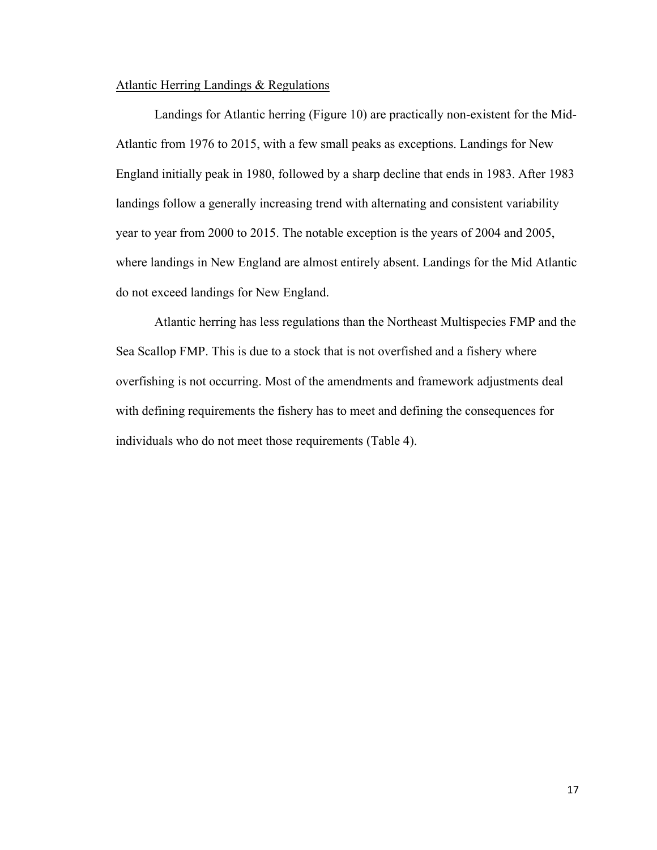#### Atlantic Herring Landings & Regulations

Landings for Atlantic herring (Figure 10) are practically non-existent for the Mid-Atlantic from 1976 to 2015, with a few small peaks as exceptions. Landings for New England initially peak in 1980, followed by a sharp decline that ends in 1983. After 1983 landings follow a generally increasing trend with alternating and consistent variability year to year from 2000 to 2015. The notable exception is the years of 2004 and 2005, where landings in New England are almost entirely absent. Landings for the Mid Atlantic do not exceed landings for New England.

Atlantic herring has less regulations than the Northeast Multispecies FMP and the Sea Scallop FMP. This is due to a stock that is not overfished and a fishery where overfishing is not occurring. Most of the amendments and framework adjustments deal with defining requirements the fishery has to meet and defining the consequences for individuals who do not meet those requirements (Table 4).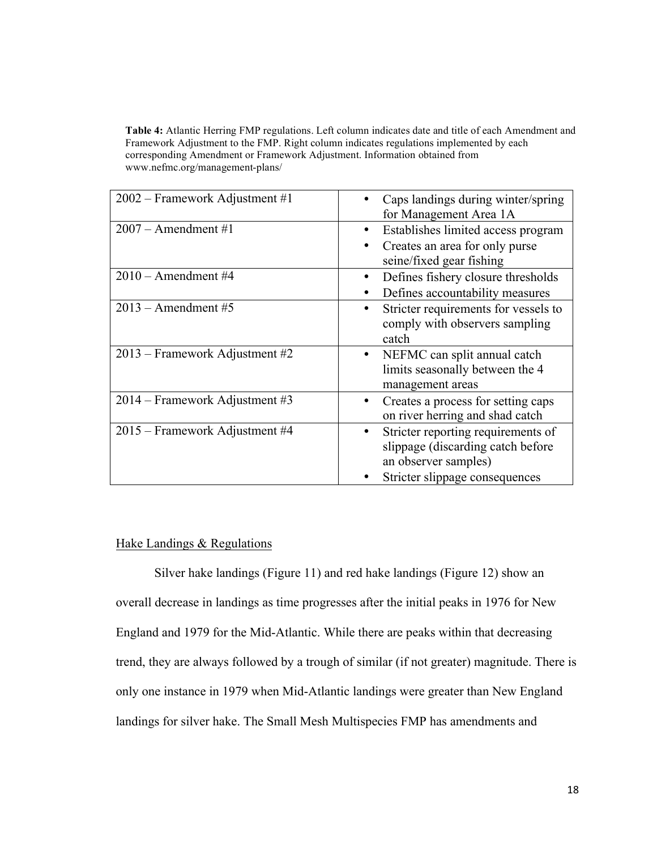**Table 4:** Atlantic Herring FMP regulations. Left column indicates date and title of each Amendment and Framework Adjustment to the FMP. Right column indicates regulations implemented by each corresponding Amendment or Framework Adjustment. Information obtained from www.nefmc.org/management-plans/

| 2002 – Framework Adjustment #1 | Caps landings during winter/spring<br>for Management Area 1A                                                                      |
|--------------------------------|-----------------------------------------------------------------------------------------------------------------------------------|
| $2007 -$ Amendment #1          | Establishes limited access program<br>Creates an area for only purse<br>seine/fixed gear fishing                                  |
| $2010 -$ Amendment#4           | Defines fishery closure thresholds<br>Defines accountability measures                                                             |
| $2013$ – Amendment #5          | Stricter requirements for vessels to<br>٠<br>comply with observers sampling<br>catch                                              |
| 2013 – Framework Adjustment #2 | NEFMC can split annual catch<br>$\bullet$<br>limits seasonally between the 4<br>management areas                                  |
| 2014 – Framework Adjustment #3 | Creates a process for setting caps<br>on river herring and shad catch                                                             |
| 2015 – Framework Adjustment #4 | Stricter reporting requirements of<br>slippage (discarding catch before<br>an observer samples)<br>Stricter slippage consequences |

## Hake Landings & Regulations

Silver hake landings (Figure 11) and red hake landings (Figure 12) show an overall decrease in landings as time progresses after the initial peaks in 1976 for New England and 1979 for the Mid-Atlantic. While there are peaks within that decreasing trend, they are always followed by a trough of similar (if not greater) magnitude. There is only one instance in 1979 when Mid-Atlantic landings were greater than New England landings for silver hake. The Small Mesh Multispecies FMP has amendments and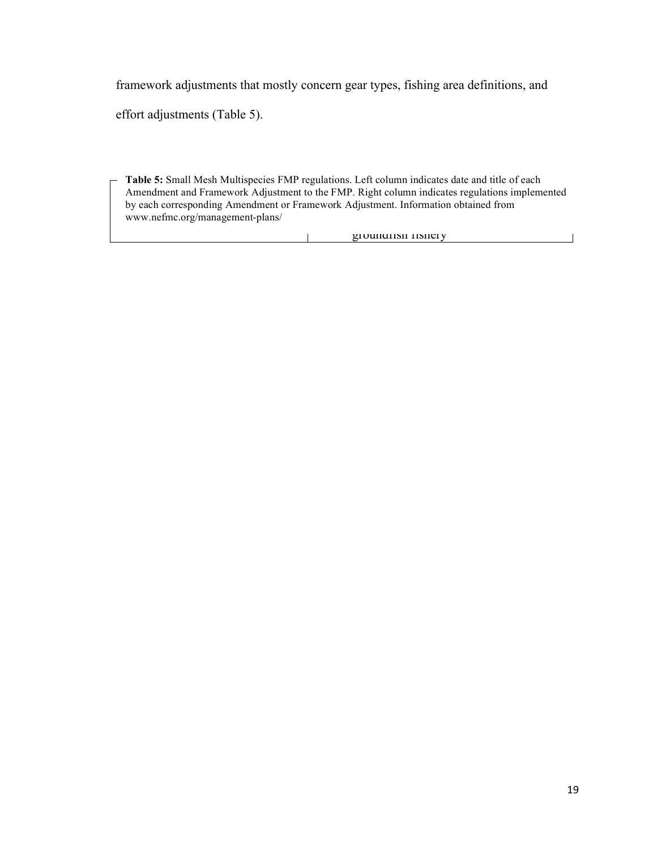framework adjustments that mostly concern gear types, fishing area definitions, and

effort adjustments (Table 5).

Amendment and Framework Adjustment to the FMP. Right column indicates regulations implemented by each corresponding Amendment or Framework Adjustment. Information obtained from **Table 5:** Small Mesh Multispecies FMP regulations. Left column indicates date and title of each www.nefmc.org/management-plans/

> groundfish fishery  $\mathbf{L}$  and  $\mathbf{L}$

 $\overline{\phantom{a}}$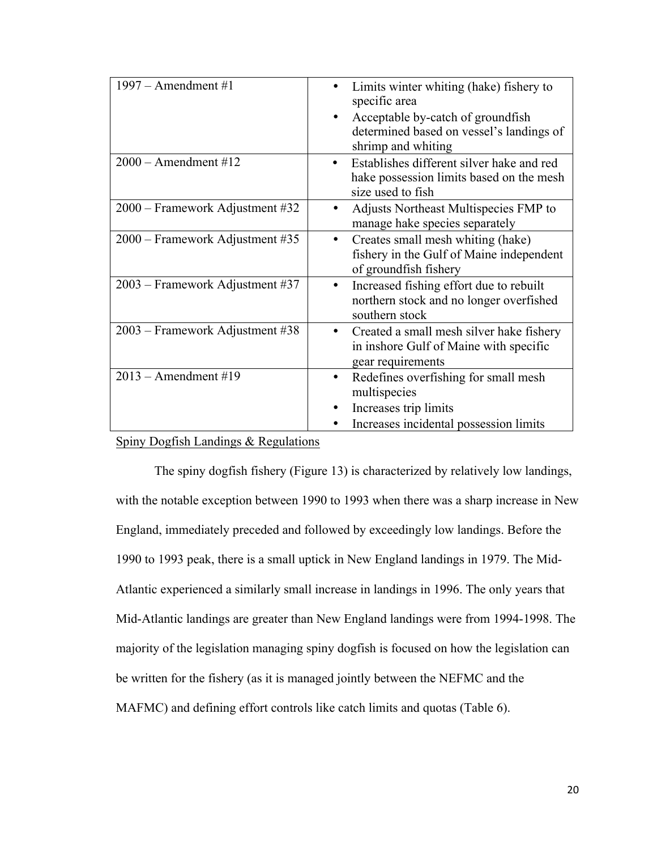| $1997 -$ Amendment#1            | Limits winter whiting (hake) fishery to<br>specific area<br>Acceptable by-catch of groundfish<br>determined based on vessel's landings of<br>shrimp and whiting |
|---------------------------------|-----------------------------------------------------------------------------------------------------------------------------------------------------------------|
| $2000 -$ Amendment#12           | Establishes different silver hake and red<br>٠<br>hake possession limits based on the mesh<br>size used to fish                                                 |
| 2000 – Framework Adjustment #32 | Adjusts Northeast Multispecies FMP to<br>٠<br>manage hake species separately                                                                                    |
| 2000 – Framework Adjustment #35 | Creates small mesh whiting (hake)<br>$\bullet$<br>fishery in the Gulf of Maine independent<br>of groundfish fishery                                             |
| 2003 – Framework Adjustment #37 | Increased fishing effort due to rebuilt<br>٠<br>northern stock and no longer overfished<br>southern stock                                                       |
| 2003 – Framework Adjustment #38 | Created a small mesh silver hake fishery<br>$\bullet$<br>in inshore Gulf of Maine with specific<br>gear requirements                                            |
| $2013$ – Amendment #19          | Redefines overfishing for small mesh<br>multispecies<br>Increases trip limits                                                                                   |
|                                 | Increases incidental possession limits                                                                                                                          |

### Spiny Dogfish Landings & Regulations

The spiny dogfish fishery (Figure 13) is characterized by relatively low landings, with the notable exception between 1990 to 1993 when there was a sharp increase in New England, immediately preceded and followed by exceedingly low landings. Before the 1990 to 1993 peak, there is a small uptick in New England landings in 1979. The Mid-Atlantic experienced a similarly small increase in landings in 1996. The only years that Mid-Atlantic landings are greater than New England landings were from 1994-1998. The majority of the legislation managing spiny dogfish is focused on how the legislation can be written for the fishery (as it is managed jointly between the NEFMC and the MAFMC) and defining effort controls like catch limits and quotas (Table 6).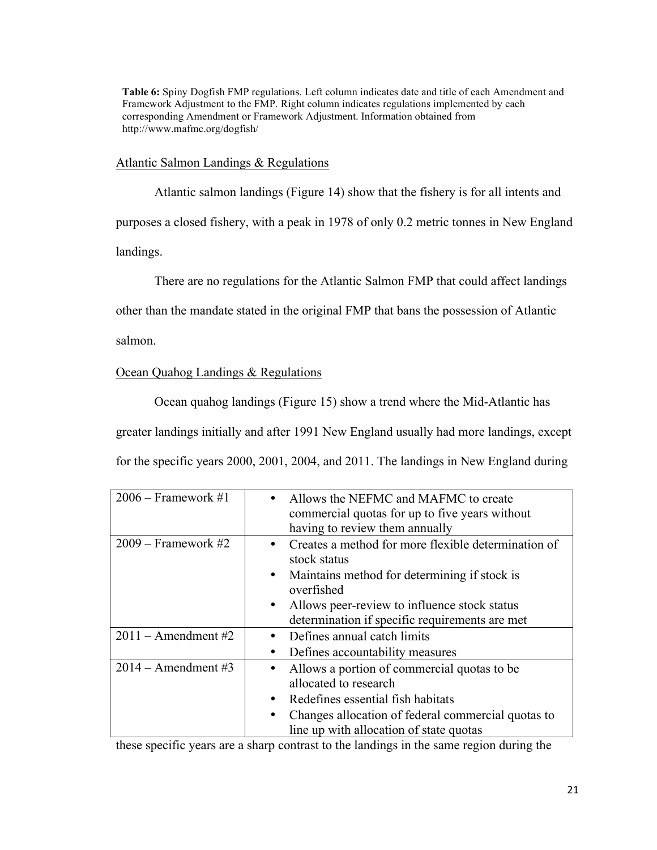**Table 6:** Spiny Dogfish FMP regulations. Left column indicates date and title of each Amendment and Framework Adjustment to the FMP. Right column indicates regulations implemented by each corresponding Amendment or Framework Adjustment. Information obtained from http://www.mafmc.org/dogfish/

Atlantic Salmon Landings & Regulations

Atlantic salmon landings (Figure 14) show that the fishery is for all intents and purposes a closed fishery, with a peak in 1978 of only 0.2 metric tonnes in New England landings.

There are no regulations for the Atlantic Salmon FMP that could affect landings

other than the mandate stated in the original FMP that bans the possession of Atlantic

salmon.

# Ocean Quahog Landings & Regulations

Ocean quahog landings (Figure 15) show a trend where the Mid-Atlantic has greater landings initially and after 1991 New England usually had more landings, except for the specific years 2000, 2001, 2004, and 2011. The landings in New England during

| $2006$ – Framework #1 | Allows the NEFMC and MAFMC to create<br>commercial quotas for up to five years without<br>having to review them annually              |
|-----------------------|---------------------------------------------------------------------------------------------------------------------------------------|
| $2009$ – Framework #2 | Creates a method for more flexible determination of<br>٠<br>stock status<br>Maintains method for determining if stock is<br>$\bullet$ |
|                       | overfished                                                                                                                            |
|                       | Allows peer-review to influence stock status<br>$\bullet$                                                                             |
|                       | determination if specific requirements are met                                                                                        |
| $2011 -$ Amendment #2 | Defines annual catch limits<br>٠                                                                                                      |
|                       | Defines accountability measures<br>٠                                                                                                  |
| $2014 -$ Amendment#3  | Allows a portion of commercial quotas to be<br>٠<br>allocated to research                                                             |
|                       |                                                                                                                                       |
|                       | Redefines essential fish habitats<br>٠                                                                                                |
|                       | Changes allocation of federal commercial quotas to                                                                                    |
|                       | line up with allocation of state quotas                                                                                               |

these specific years are a sharp contrast to the landings in the same region during the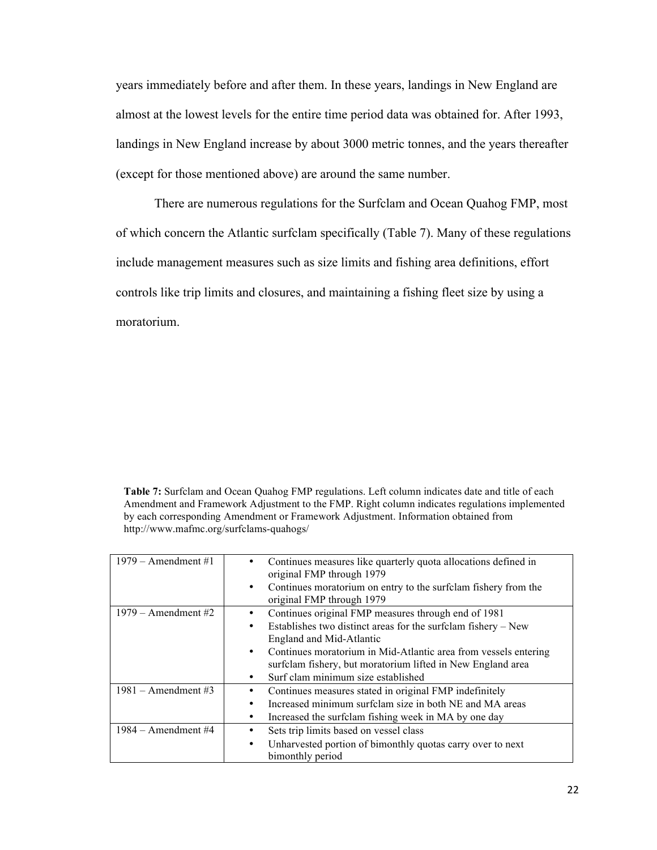years immediately before and after them. In these years, landings in New England are almost at the lowest levels for the entire time period data was obtained for. After 1993, landings in New England increase by about 3000 metric tonnes, and the years thereafter (except for those mentioned above) are around the same number.

There are numerous regulations for the Surfclam and Ocean Quahog FMP, most of which concern the Atlantic surfclam specifically (Table 7). Many of these regulations include management measures such as size limits and fishing area definitions, effort controls like trip limits and closures, and maintaining a fishing fleet size by using a moratorium.

**Table 7:** Surfclam and Ocean Quahog FMP regulations. Left column indicates date and title of each Amendment and Framework Adjustment to the FMP. Right column indicates regulations implemented by each corresponding Amendment or Framework Adjustment. Information obtained from http://www.mafmc.org/surfclams-quahogs/

| $1979$ – Amendment #1 | Continues measures like quarterly quota allocations defined in<br>original FMP through 1979<br>Continues moratorium on entry to the surfclam fishery from the<br>$\bullet$ |
|-----------------------|----------------------------------------------------------------------------------------------------------------------------------------------------------------------------|
|                       | original FMP through 1979                                                                                                                                                  |
| $1979$ – Amendment #2 | Continues original FMP measures through end of 1981                                                                                                                        |
|                       | Establishes two distinct areas for the surfclam fishery – New<br>$\bullet$                                                                                                 |
|                       | England and Mid-Atlantic                                                                                                                                                   |
|                       | Continues moratorium in Mid-Atlantic area from vessels entering<br>$\bullet$                                                                                               |
|                       | surfclam fishery, but moratorium lifted in New England area                                                                                                                |
|                       | Surf clam minimum size established<br>٠                                                                                                                                    |
| $1981 -$ Amendment#3  | Continues measures stated in original FMP indefinitely                                                                                                                     |
|                       | Increased minimum surfolam size in both NE and MA areas<br>٠                                                                                                               |
|                       | Increased the surfclam fishing week in MA by one day<br>٠                                                                                                                  |
| $1984 -$ Amendment#4  | Sets trip limits based on vessel class                                                                                                                                     |
|                       | Unharvested portion of bimonthly quotas carry over to next<br>$\bullet$                                                                                                    |
|                       | bimonthly period                                                                                                                                                           |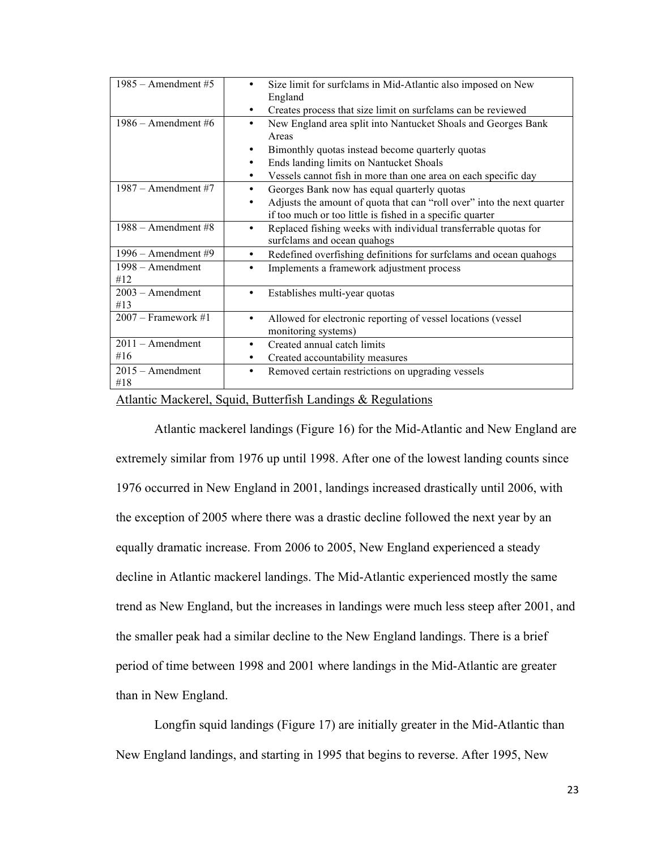| $1985$ – Amendment #5     | Size limit for surfclams in Mid-Atlantic also imposed on New<br>England                                                                                                              |
|---------------------------|--------------------------------------------------------------------------------------------------------------------------------------------------------------------------------------|
|                           | Creates process that size limit on surfclams can be reviewed<br>٠                                                                                                                    |
| $1986$ – Amendment #6     | New England area split into Nantucket Shoals and Georges Bank<br>٠<br>Areas<br>Bimonthly quotas instead become quarterly quotas<br>٠<br>Ends landing limits on Nantucket Shoals<br>٠ |
|                           | Vessels cannot fish in more than one area on each specific day                                                                                                                       |
| $1987 -$ Amendment #7     | Georges Bank now has equal quarterly quotas<br>Adjusts the amount of quota that can "roll over" into the next quarter<br>if too much or too little is fished in a specific quarter   |
| $1988 -$ Amendment#8      | Replaced fishing weeks with individual transferrable quotas for<br>٠<br>surfclams and ocean quahogs                                                                                  |
| $1996$ – Amendment #9     | Redefined overfishing definitions for surfclams and ocean quahogs<br>$\bullet$                                                                                                       |
| 1998 – Amendment<br>#12   | Implements a framework adjustment process<br>٠                                                                                                                                       |
| $2003 -$ Amendment<br>#13 | Establishes multi-year quotas<br>٠                                                                                                                                                   |
| $2007$ – Framework #1     | Allowed for electronic reporting of vessel locations (vessel<br>٠<br>monitoring systems)                                                                                             |
| $2011 -$ Amendment        | Created annual catch limits<br>$\bullet$                                                                                                                                             |
| #16                       | Created accountability measures<br>٠                                                                                                                                                 |
| $2015 -$ Amendment<br>#18 | Removed certain restrictions on upgrading vessels<br>٠                                                                                                                               |

#### Atlantic Mackerel, Squid, Butterfish Landings & Regulations

Atlantic mackerel landings (Figure 16) for the Mid-Atlantic and New England are extremely similar from 1976 up until 1998. After one of the lowest landing counts since 1976 occurred in New England in 2001, landings increased drastically until 2006, with the exception of 2005 where there was a drastic decline followed the next year by an equally dramatic increase. From 2006 to 2005, New England experienced a steady decline in Atlantic mackerel landings. The Mid-Atlantic experienced mostly the same trend as New England, but the increases in landings were much less steep after 2001, and the smaller peak had a similar decline to the New England landings. There is a brief period of time between 1998 and 2001 where landings in the Mid-Atlantic are greater than in New England.

Longfin squid landings (Figure 17) are initially greater in the Mid-Atlantic than New England landings, and starting in 1995 that begins to reverse. After 1995, New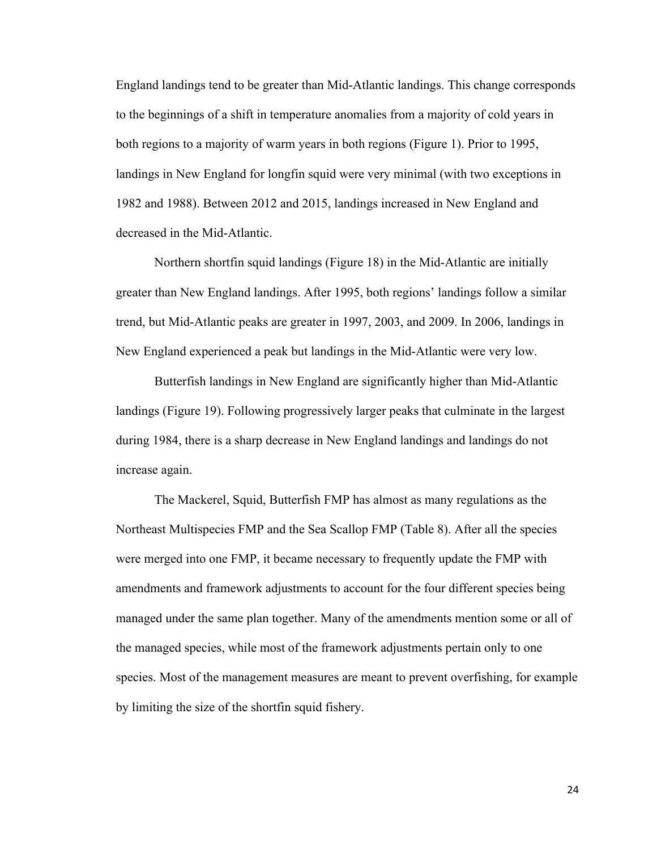England landings tend to be greater than Mid-Atlantic landings. This change corresponds to the beginnings of a shift in temperature anomalies from a majority of cold years in both regions to a majority of warm years in both regions (Figure 1). Prior to 1995, landings in New England for longfin squid were very minimal (with two exceptions in 1982 and 1988). Between 2012 and 2015, landings increased in New England and decreased in the Mid-Atlantic.

Northern shortfin squid landings (Figure 18) in the Mid-Atlantic are initially greater than New England landings. After 1995, both regions' landings follow a similar trend, but Mid-Atlantic peaks are greater in 1997, 2003, and 2009. In 2006, landings in New England experienced a peak but landings in the Mid-Atlantic were very low.

Butterfish landings in New England are significantly higher than Mid-Atlantic landings (Figure 19). Following progressively larger peaks that culminate in the largest during 1984, there is a sharp decrease in New England landings and landings do not increase again.

The Mackerel, Squid, Butterfish FMP has almost as many regulations as the Northeast Multispecies FMP and the Sea Scallop FMP (Table 8). After all the species were merged into one FMP, it became necessary to frequently update the FMP with amendments and framework adjustments to account for the four different species being managed under the same plan together. Many of the amendments mention some or all of the managed species, while most of the framework adjustments pertain only to one species. Most of the management measures are meant to prevent overfishing, for example by limiting the size of the shortfin squid fishery.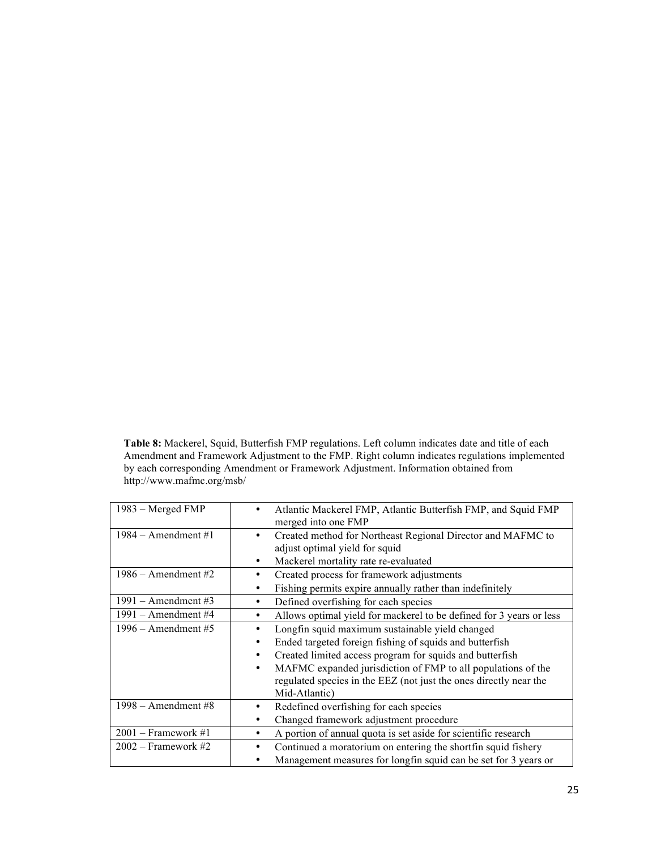**Table 8:** Mackerel, Squid, Butterfish FMP regulations. Left column indicates date and title of each Amendment and Framework Adjustment to the FMP. Right column indicates regulations implemented by each corresponding Amendment or Framework Adjustment. Information obtained from http://www.mafmc.org/msb/

| 1983 – Merged FMP     | Atlantic Mackerel FMP, Atlantic Butterfish FMP, and Squid FMP<br>merged into one FMP |  |
|-----------------------|--------------------------------------------------------------------------------------|--|
| $1984 -$ Amendment#1  | Created method for Northeast Regional Director and MAFMC to<br>٠                     |  |
|                       | adjust optimal yield for squid                                                       |  |
|                       | Mackerel mortality rate re-evaluated<br>٠                                            |  |
| $1986 -$ Amendment #2 | Created process for framework adjustments<br>٠                                       |  |
|                       | Fishing permits expire annually rather than indefinitely<br>٠                        |  |
| $1991 -$ Amendment#3  | Defined overfishing for each species<br>٠                                            |  |
| $1991 -$ Amendment#4  | Allows optimal yield for mackerel to be defined for 3 years or less<br>$\bullet$     |  |
| $1996 -$ Amendment#5  | Longfin squid maximum sustainable yield changed<br>٠                                 |  |
|                       | Ended targeted foreign fishing of squids and butterfish<br>٠                         |  |
|                       | Created limited access program for squids and butterfish<br>٠                        |  |
|                       | MAFMC expanded jurisdiction of FMP to all populations of the<br>٠                    |  |
|                       | regulated species in the EEZ (not just the ones directly near the                    |  |
|                       | Mid-Atlantic)                                                                        |  |
| $1998$ – Amendment #8 | Redefined overfishing for each species                                               |  |
|                       | Changed framework adjustment procedure                                               |  |
| $2001$ – Framework #1 | A portion of annual quota is set aside for scientific research                       |  |
| $2002$ – Framework #2 | Continued a moratorium on entering the shortfin squid fishery                        |  |
|                       | Management measures for longfin squid can be set for 3 years or                      |  |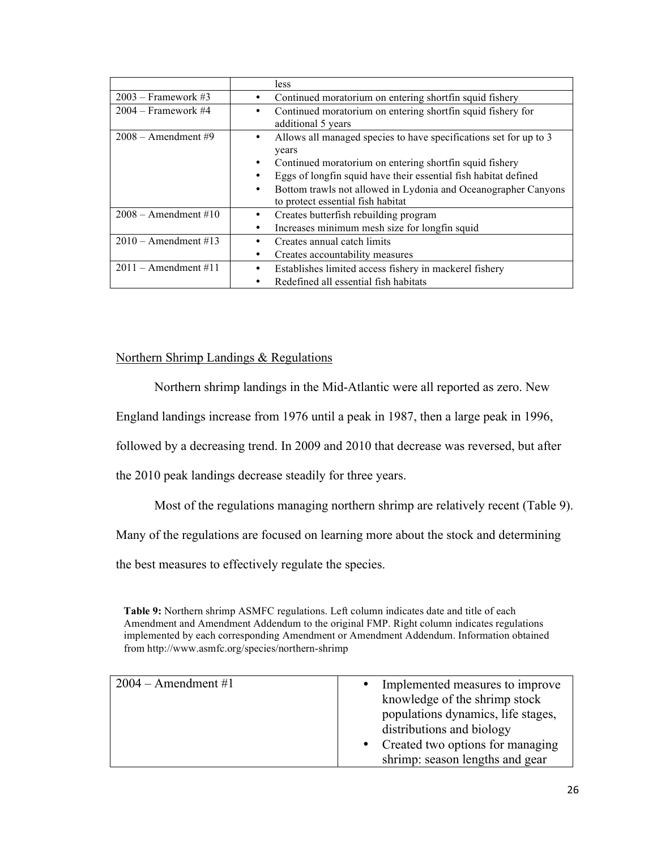|                        | <i>less</i>                                                         |
|------------------------|---------------------------------------------------------------------|
| $2003$ – Framework #3  | Continued moratorium on entering shortfin squid fishery             |
| $2004$ – Framework #4  | Continued moratorium on entering shortfin squid fishery for         |
|                        | additional 5 years                                                  |
| $2008$ – Amendment #9  | Allows all managed species to have specifications set for up to 3   |
|                        | years                                                               |
|                        | Continued moratorium on entering shortfin squid fishery<br>٠        |
|                        | Eggs of longfin squid have their essential fish habitat defined     |
|                        | Bottom trawls not allowed in Lydonia and Oceanographer Canyons<br>٠ |
|                        | to protect essential fish habitat                                   |
| $2008 -$ Amendment#10  | Creates butterfish rebuilding program                               |
|                        | Increases minimum mesh size for longfin squid<br>٠                  |
| $2010$ – Amendment #13 | Creates annual catch limits                                         |
|                        | Creates accountability measures                                     |
| $2011 -$ Amendment#11  | Establishes limited access fishery in mackerel fishery              |
|                        | Redefined all essential fish habitats                               |

# Northern Shrimp Landings & Regulations

Northern shrimp landings in the Mid-Atlantic were all reported as zero. New

England landings increase from 1976 until a peak in 1987, then a large peak in 1996,

followed by a decreasing trend. In 2009 and 2010 that decrease was reversed, but after

the 2010 peak landings decrease steadily for three years.

Most of the regulations managing northern shrimp are relatively recent (Table 9).

Many of the regulations are focused on learning more about the stock and determining

the best measures to effectively regulate the species.

**Table 9:** Northern shrimp ASMFC regulations. Left column indicates date and title of each Amendment and Amendment Addendum to the original FMP. Right column indicates regulations implemented by each corresponding Amendment or Amendment Addendum. Information obtained from http://www.asmfc.org/species/northern-shrimp

| $2004 -$ Amendment#1 | • Implemented measures to improve  |
|----------------------|------------------------------------|
|                      | knowledge of the shrimp stock      |
|                      | populations dynamics, life stages, |
|                      | distributions and biology          |
|                      | Created two options for managing   |
|                      | shrimp: season lengths and gear    |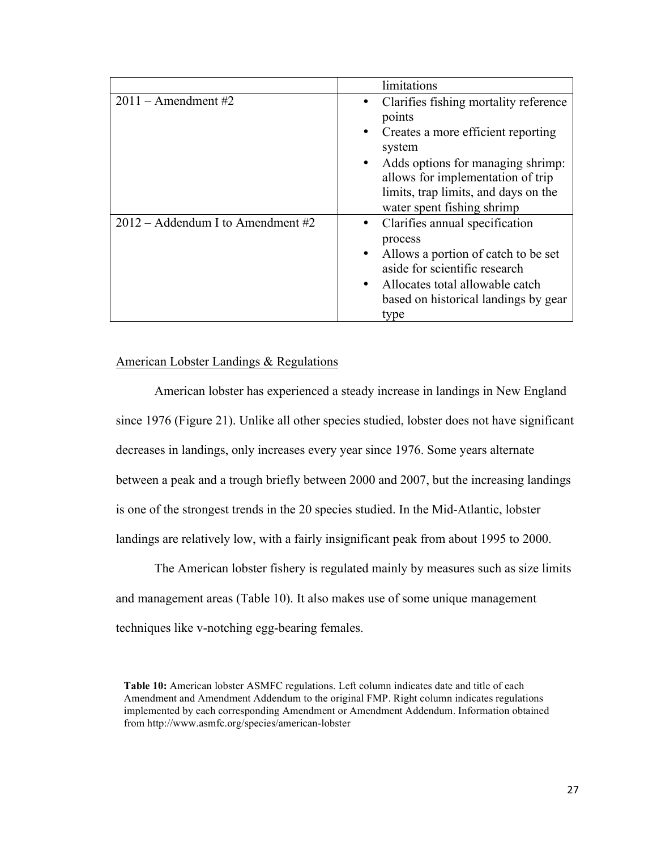|                                     | limitations                                                                                                                                                                                                                                                  |
|-------------------------------------|--------------------------------------------------------------------------------------------------------------------------------------------------------------------------------------------------------------------------------------------------------------|
| $2011 -$ Amendment #2               | Clarifies fishing mortality reference<br>points<br>Creates a more efficient reporting<br>$\bullet$<br>system<br>Adds options for managing shrimp:<br>allows for implementation of trip<br>limits, trap limits, and days on the<br>water spent fishing shrimp |
| $2012 -$ Addendum I to Amendment #2 | Clarifies annual specification<br>process<br>Allows a portion of catch to be set<br>aside for scientific research<br>Allocates total allowable catch<br>$\bullet$<br>based on historical landings by gear<br>type                                            |

## American Lobster Landings & Regulations

American lobster has experienced a steady increase in landings in New England since 1976 (Figure 21). Unlike all other species studied, lobster does not have significant decreases in landings, only increases every year since 1976. Some years alternate between a peak and a trough briefly between 2000 and 2007, but the increasing landings is one of the strongest trends in the 20 species studied. In the Mid-Atlantic, lobster landings are relatively low, with a fairly insignificant peak from about 1995 to 2000.

The American lobster fishery is regulated mainly by measures such as size limits and management areas (Table 10). It also makes use of some unique management techniques like v-notching egg-bearing females.

**Table 10:** American lobster ASMFC regulations. Left column indicates date and title of each Amendment and Amendment Addendum to the original FMP. Right column indicates regulations implemented by each corresponding Amendment or Amendment Addendum. Information obtained from http://www.asmfc.org/species/american-lobster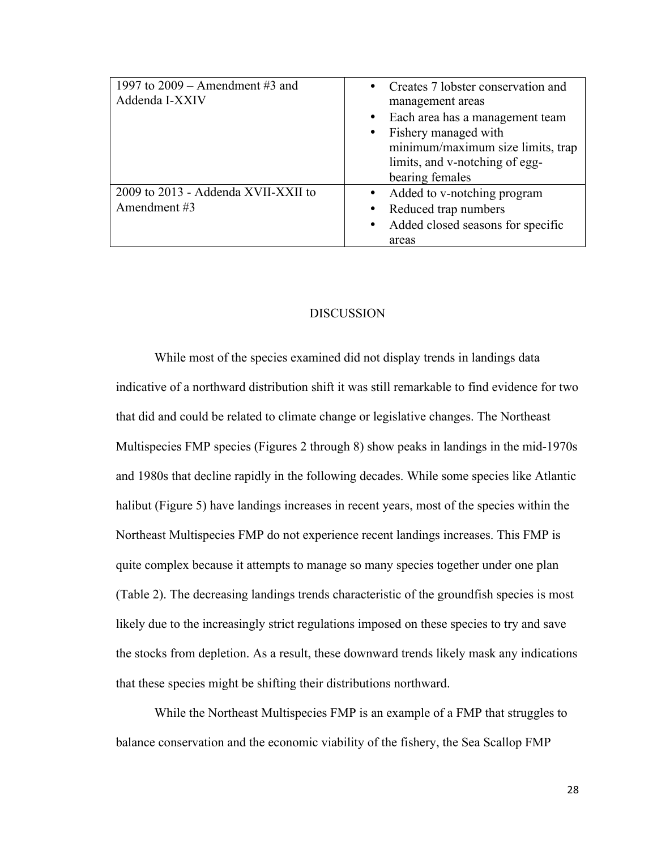| 1997 to $2009$ – Amendment #3 and<br>Addenda I-XXIV | • Creates 7 lobster conservation and<br>management areas<br>• Each area has a management team<br>• Fishery managed with<br>minimum/maximum size limits, trap<br>limits, and v-notching of egg-<br>bearing females |
|-----------------------------------------------------|-------------------------------------------------------------------------------------------------------------------------------------------------------------------------------------------------------------------|
| 2009 to 2013 - Addenda XVII-XXII to<br>Amendment #3 | • Added to v-notching program<br>• Reduced trap numbers<br>• Added closed seasons for specific<br>areas                                                                                                           |

# DISCUSSION

While most of the species examined did not display trends in landings data indicative of a northward distribution shift it was still remarkable to find evidence for two that did and could be related to climate change or legislative changes. The Northeast Multispecies FMP species (Figures 2 through 8) show peaks in landings in the mid-1970s and 1980s that decline rapidly in the following decades. While some species like Atlantic halibut (Figure 5) have landings increases in recent years, most of the species within the Northeast Multispecies FMP do not experience recent landings increases. This FMP is quite complex because it attempts to manage so many species together under one plan (Table 2). The decreasing landings trends characteristic of the groundfish species is most likely due to the increasingly strict regulations imposed on these species to try and save the stocks from depletion. As a result, these downward trends likely mask any indications that these species might be shifting their distributions northward.

While the Northeast Multispecies FMP is an example of a FMP that struggles to balance conservation and the economic viability of the fishery, the Sea Scallop FMP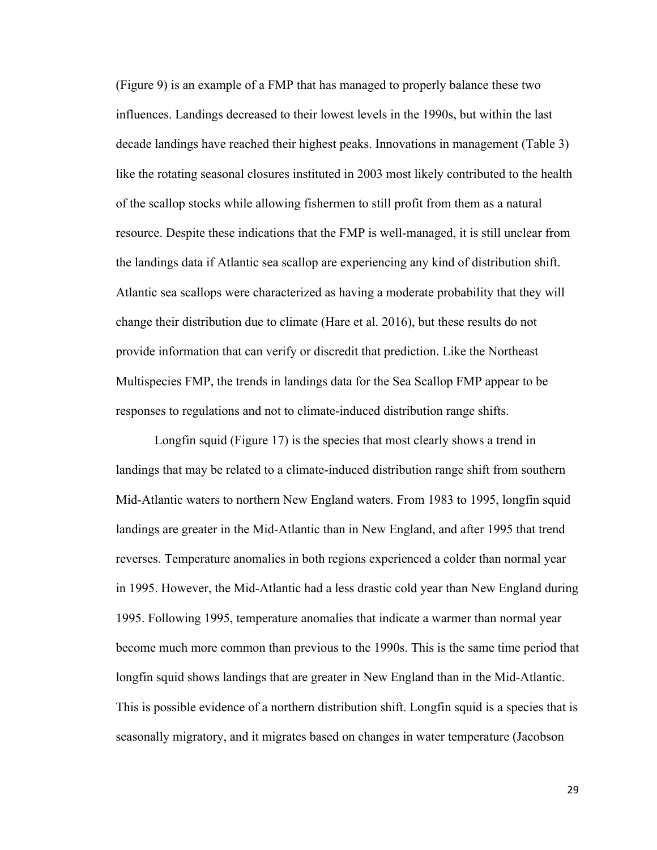(Figure 9) is an example of a FMP that has managed to properly balance these two influences. Landings decreased to their lowest levels in the 1990s, but within the last decade landings have reached their highest peaks. Innovations in management (Table 3) like the rotating seasonal closures instituted in 2003 most likely contributed to the health of the scallop stocks while allowing fishermen to still profit from them as a natural resource. Despite these indications that the FMP is well-managed, it is still unclear from the landings data if Atlantic sea scallop are experiencing any kind of distribution shift. Atlantic sea scallops were characterized as having a moderate probability that they will change their distribution due to climate (Hare et al. 2016), but these results do not provide information that can verify or discredit that prediction. Like the Northeast Multispecies FMP, the trends in landings data for the Sea Scallop FMP appear to be responses to regulations and not to climate-induced distribution range shifts.

Longfin squid (Figure 17) is the species that most clearly shows a trend in landings that may be related to a climate-induced distribution range shift from southern Mid-Atlantic waters to northern New England waters. From 1983 to 1995, longfin squid landings are greater in the Mid-Atlantic than in New England, and after 1995 that trend reverses. Temperature anomalies in both regions experienced a colder than normal year in 1995. However, the Mid-Atlantic had a less drastic cold year than New England during 1995. Following 1995, temperature anomalies that indicate a warmer than normal year become much more common than previous to the 1990s. This is the same time period that longfin squid shows landings that are greater in New England than in the Mid-Atlantic. This is possible evidence of a northern distribution shift. Longfin squid is a species that is seasonally migratory, and it migrates based on changes in water temperature (Jacobson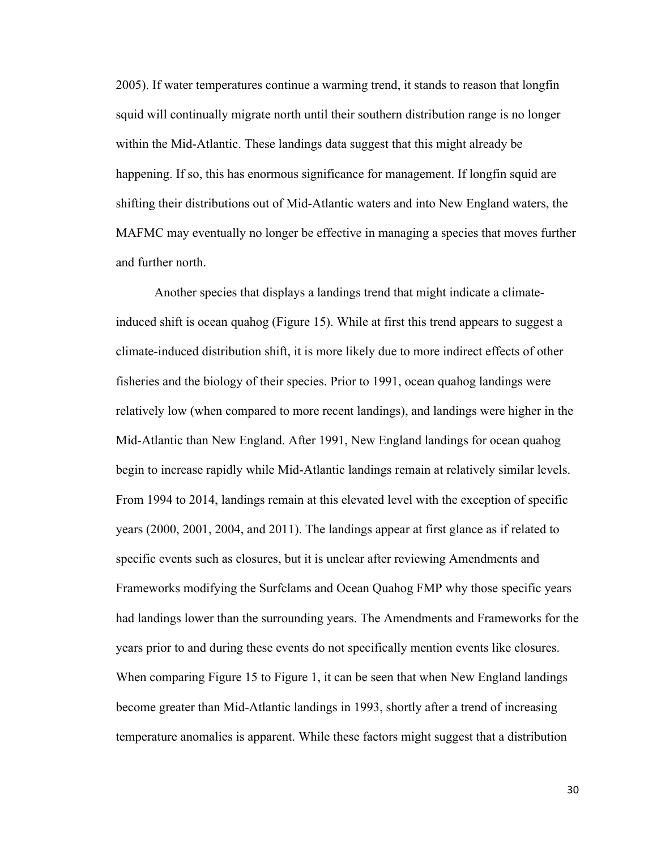2005). If water temperatures continue a warming trend, it stands to reason that longfin squid will continually migrate north until their southern distribution range is no longer within the Mid-Atlantic. These landings data suggest that this might already be happening. If so, this has enormous significance for management. If longfin squid are shifting their distributions out of Mid-Atlantic waters and into New England waters, the MAFMC may eventually no longer be effective in managing a species that moves further and further north.

Another species that displays a landings trend that might indicate a climateinduced shift is ocean quahog (Figure 15). While at first this trend appears to suggest a climate-induced distribution shift, it is more likely due to more indirect effects of other fisheries and the biology of their species. Prior to 1991, ocean quahog landings were relatively low (when compared to more recent landings), and landings were higher in the Mid-Atlantic than New England. After 1991, New England landings for ocean quahog begin to increase rapidly while Mid-Atlantic landings remain at relatively similar levels. From 1994 to 2014, landings remain at this elevated level with the exception of specific years (2000, 2001, 2004, and 2011). The landings appear at first glance as if related to specific events such as closures, but it is unclear after reviewing Amendments and Frameworks modifying the Surfclams and Ocean Quahog FMP why those specific years had landings lower than the surrounding years. The Amendments and Frameworks for the years prior to and during these events do not specifically mention events like closures. When comparing Figure 15 to Figure 1, it can be seen that when New England landings become greater than Mid-Atlantic landings in 1993, shortly after a trend of increasing temperature anomalies is apparent. While these factors might suggest that a distribution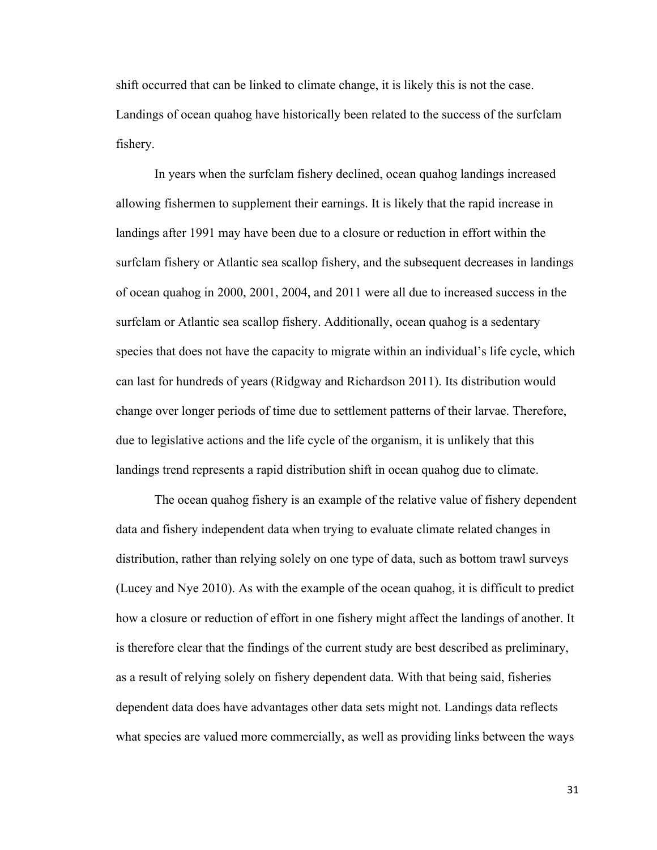shift occurred that can be linked to climate change, it is likely this is not the case. Landings of ocean quahog have historically been related to the success of the surfclam fishery.

In years when the surfclam fishery declined, ocean quahog landings increased allowing fishermen to supplement their earnings. It is likely that the rapid increase in landings after 1991 may have been due to a closure or reduction in effort within the surfclam fishery or Atlantic sea scallop fishery, and the subsequent decreases in landings of ocean quahog in 2000, 2001, 2004, and 2011 were all due to increased success in the surfclam or Atlantic sea scallop fishery. Additionally, ocean quahog is a sedentary species that does not have the capacity to migrate within an individual's life cycle, which can last for hundreds of years (Ridgway and Richardson 2011). Its distribution would change over longer periods of time due to settlement patterns of their larvae. Therefore, due to legislative actions and the life cycle of the organism, it is unlikely that this landings trend represents a rapid distribution shift in ocean quahog due to climate.

The ocean quahog fishery is an example of the relative value of fishery dependent data and fishery independent data when trying to evaluate climate related changes in distribution, rather than relying solely on one type of data, such as bottom trawl surveys (Lucey and Nye 2010). As with the example of the ocean quahog, it is difficult to predict how a closure or reduction of effort in one fishery might affect the landings of another. It is therefore clear that the findings of the current study are best described as preliminary, as a result of relying solely on fishery dependent data. With that being said, fisheries dependent data does have advantages other data sets might not. Landings data reflects what species are valued more commercially, as well as providing links between the ways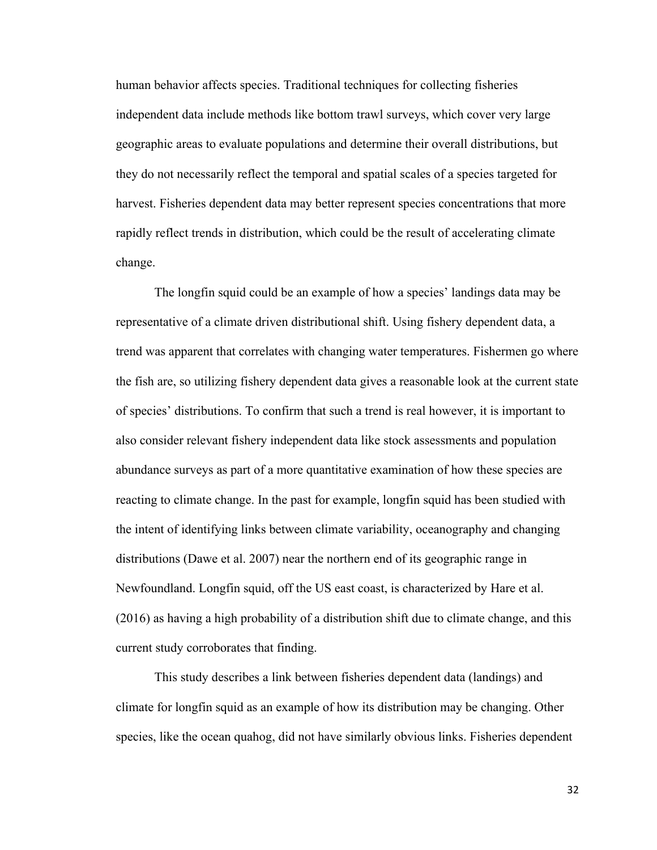human behavior affects species. Traditional techniques for collecting fisheries independent data include methods like bottom trawl surveys, which cover very large geographic areas to evaluate populations and determine their overall distributions, but they do not necessarily reflect the temporal and spatial scales of a species targeted for harvest. Fisheries dependent data may better represent species concentrations that more rapidly reflect trends in distribution, which could be the result of accelerating climate change.

The longfin squid could be an example of how a species' landings data may be representative of a climate driven distributional shift. Using fishery dependent data, a trend was apparent that correlates with changing water temperatures. Fishermen go where the fish are, so utilizing fishery dependent data gives a reasonable look at the current state of species' distributions. To confirm that such a trend is real however, it is important to also consider relevant fishery independent data like stock assessments and population abundance surveys as part of a more quantitative examination of how these species are reacting to climate change. In the past for example, longfin squid has been studied with the intent of identifying links between climate variability, oceanography and changing distributions (Dawe et al. 2007) near the northern end of its geographic range in Newfoundland. Longfin squid, off the US east coast, is characterized by Hare et al. (2016) as having a high probability of a distribution shift due to climate change, and this current study corroborates that finding.

This study describes a link between fisheries dependent data (landings) and climate for longfin squid as an example of how its distribution may be changing. Other species, like the ocean quahog, did not have similarly obvious links. Fisheries dependent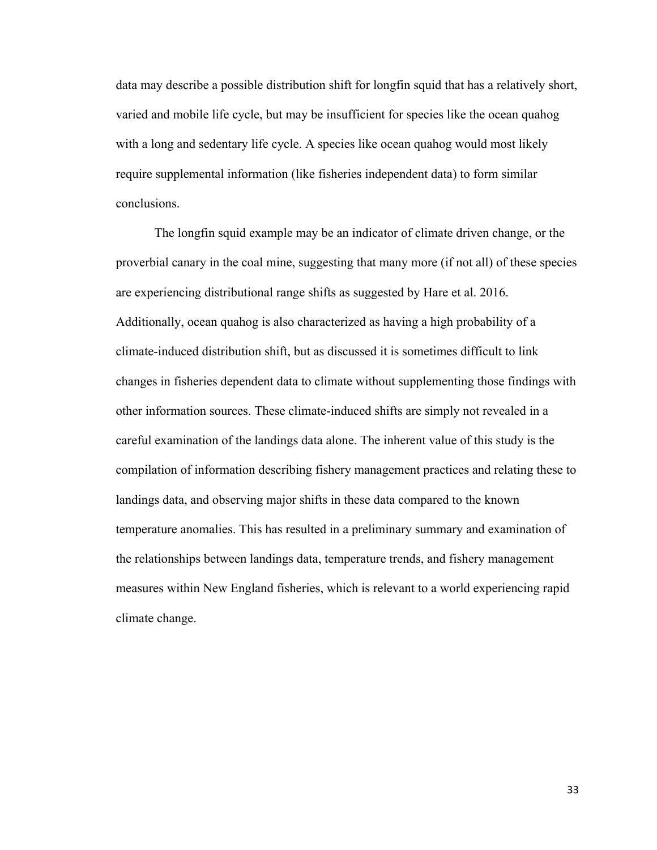data may describe a possible distribution shift for longfin squid that has a relatively short, varied and mobile life cycle, but may be insufficient for species like the ocean quahog with a long and sedentary life cycle. A species like ocean quahog would most likely require supplemental information (like fisheries independent data) to form similar conclusions.

The longfin squid example may be an indicator of climate driven change, or the proverbial canary in the coal mine, suggesting that many more (if not all) of these species are experiencing distributional range shifts as suggested by Hare et al. 2016. Additionally, ocean quahog is also characterized as having a high probability of a climate-induced distribution shift, but as discussed it is sometimes difficult to link changes in fisheries dependent data to climate without supplementing those findings with other information sources. These climate-induced shifts are simply not revealed in a careful examination of the landings data alone. The inherent value of this study is the compilation of information describing fishery management practices and relating these to landings data, and observing major shifts in these data compared to the known temperature anomalies. This has resulted in a preliminary summary and examination of the relationships between landings data, temperature trends, and fishery management measures within New England fisheries, which is relevant to a world experiencing rapid climate change.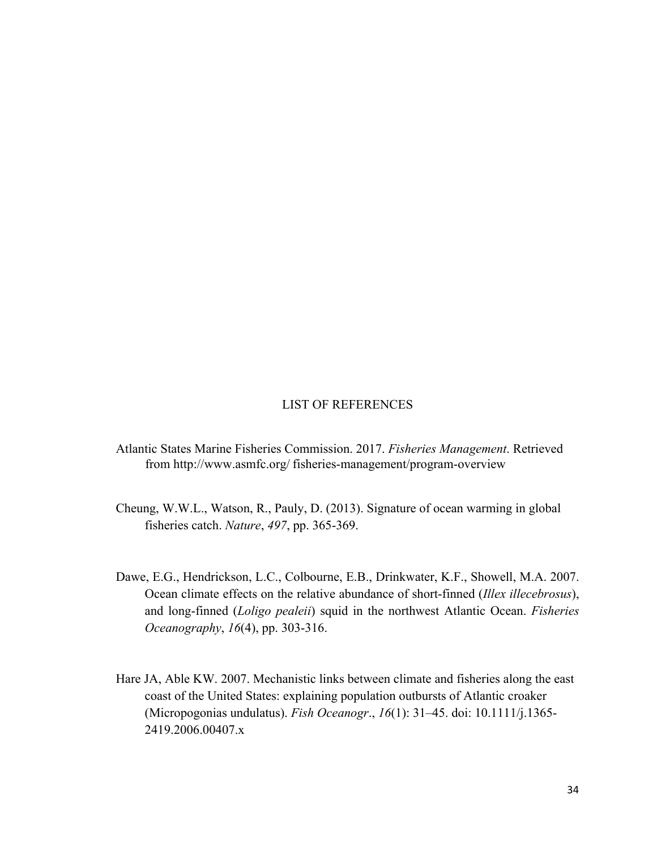#### LIST OF REFERENCES

- Atlantic States Marine Fisheries Commission. 2017. *Fisheries Management*. Retrieved from http://www.asmfc.org/ fisheries-management/program-overview
- Cheung, W.W.L., Watson, R., Pauly, D. (2013). Signature of ocean warming in global fisheries catch. *Nature*, *497*, pp. 365-369.
- Dawe, E.G., Hendrickson, L.C., Colbourne, E.B., Drinkwater, K.F., Showell, M.A. 2007. Ocean climate effects on the relative abundance of short-finned (*Illex illecebrosus*), and long-finned (*Loligo pealeii*) squid in the northwest Atlantic Ocean. *Fisheries Oceanography*, *16*(4), pp. 303-316.
- Hare JA, Able KW. 2007. Mechanistic links between climate and fisheries along the east coast of the United States: explaining population outbursts of Atlantic croaker (Micropogonias undulatus). *Fish Oceanogr*., *16*(1): 31–45. doi: 10.1111/j.1365- 2419.2006.00407.x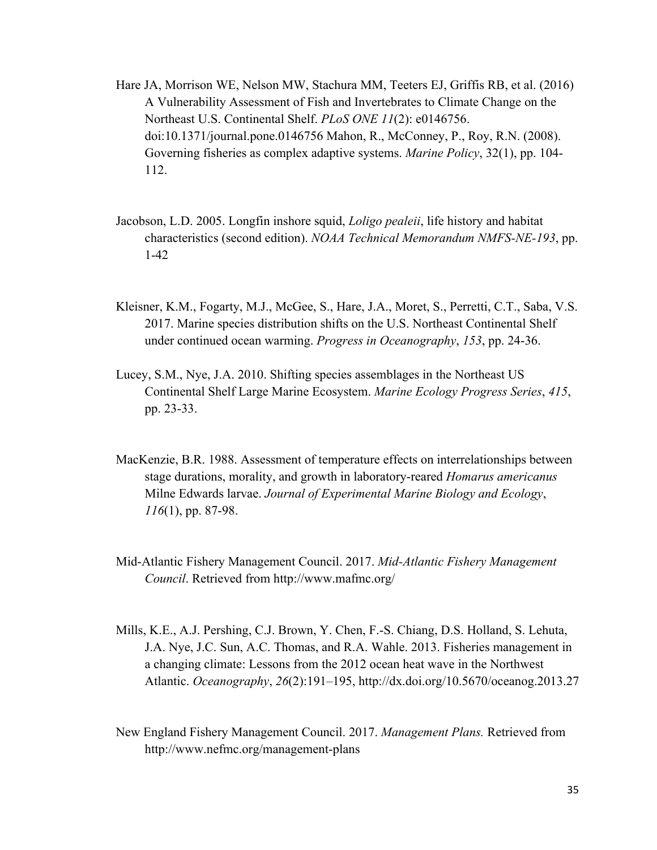- Hare JA, Morrison WE, Nelson MW, Stachura MM, Teeters EJ, Griffis RB, et al. (2016) A Vulnerability Assessment of Fish and Invertebrates to Climate Change on the Northeast U.S. Continental Shelf. *PLoS ONE 11*(2): e0146756. doi:10.1371/journal.pone.0146756 Mahon, R., McConney, P., Roy, R.N. (2008). Governing fisheries as complex adaptive systems. *Marine Policy*, 32(1), pp. 104- 112.
- Jacobson, L.D. 2005. Longfin inshore squid, *Loligo pealeii*, life history and habitat characteristics (second edition). *NOAA Technical Memorandum NMFS-NE-193*, pp. 1-42
- Kleisner, K.M., Fogarty, M.J., McGee, S., Hare, J.A., Moret, S., Perretti, C.T., Saba, V.S. 2017. Marine species distribution shifts on the U.S. Northeast Continental Shelf under continued ocean warming. *Progress in Oceanography*, *153*, pp. 24-36.
- Lucey, S.M., Nye, J.A. 2010. Shifting species assemblages in the Northeast US Continental Shelf Large Marine Ecosystem. *Marine Ecology Progress Series*, *415*, pp. 23-33.
- MacKenzie, B.R. 1988. Assessment of temperature effects on interrelationships between stage durations, morality, and growth in laboratory-reared *Homarus americanus* Milne Edwards larvae. *Journal of Experimental Marine Biology and Ecology*, *116*(1), pp. 87-98.
- Mid-Atlantic Fishery Management Council. 2017. *Mid-Atlantic Fishery Management Council*. Retrieved from http://www.mafmc.org/
- Mills, K.E., A.J. Pershing, C.J. Brown, Y. Chen, F.-S. Chiang, D.S. Holland, S. Lehuta, J.A. Nye, J.C. Sun, A.C. Thomas, and R.A. Wahle. 2013. Fisheries management in a changing climate: Lessons from the 2012 ocean heat wave in the Northwest Atlantic. *Oceanography*, *26*(2):191–195, http://dx.doi.org/10.5670/oceanog.2013.27
- New England Fishery Management Council. 2017. *Management Plans.* Retrieved from http://www.nefmc.org/management-plans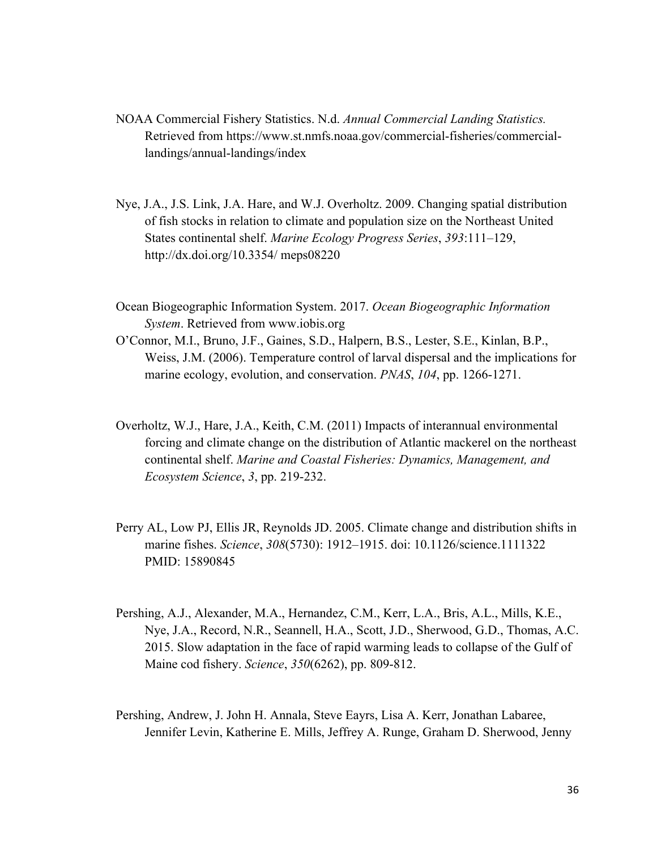- NOAA Commercial Fishery Statistics. N.d. *Annual Commercial Landing Statistics.* Retrieved from https://www.st.nmfs.noaa.gov/commercial-fisheries/commerciallandings/annual-landings/index
- Nye, J.A., J.S. Link, J.A. Hare, and W.J. Overholtz. 2009. Changing spatial distribution of fish stocks in relation to climate and population size on the Northeast United States continental shelf. *Marine Ecology Progress Series*, *393*:111–129, http://dx.doi.org/10.3354/ meps08220
- Ocean Biogeographic Information System. 2017. *Ocean Biogeographic Information System*. Retrieved from www.iobis.org
- O'Connor, M.I., Bruno, J.F., Gaines, S.D., Halpern, B.S., Lester, S.E., Kinlan, B.P., Weiss, J.M. (2006). Temperature control of larval dispersal and the implications for marine ecology, evolution, and conservation. *PNAS*, *104*, pp. 1266-1271.
- Overholtz, W.J., Hare, J.A., Keith, C.M. (2011) Impacts of interannual environmental forcing and climate change on the distribution of Atlantic mackerel on the northeast continental shelf. *Marine and Coastal Fisheries: Dynamics, Management, and Ecosystem Science*, *3*, pp. 219-232.
- Perry AL, Low PJ, Ellis JR, Reynolds JD. 2005. Climate change and distribution shifts in marine fishes. *Science*, *308*(5730): 1912–1915. doi: 10.1126/science.1111322 PMID: 15890845
- Pershing, A.J., Alexander, M.A., Hernandez, C.M., Kerr, L.A., Bris, A.L., Mills, K.E., Nye, J.A., Record, N.R., Seannell, H.A., Scott, J.D., Sherwood, G.D., Thomas, A.C. 2015. Slow adaptation in the face of rapid warming leads to collapse of the Gulf of Maine cod fishery. *Science*, *350*(6262), pp. 809-812.
- Pershing, Andrew, J. John H. Annala, Steve Eayrs, Lisa A. Kerr, Jonathan Labaree, Jennifer Levin, Katherine E. Mills, Jeffrey A. Runge, Graham D. Sherwood, Jenny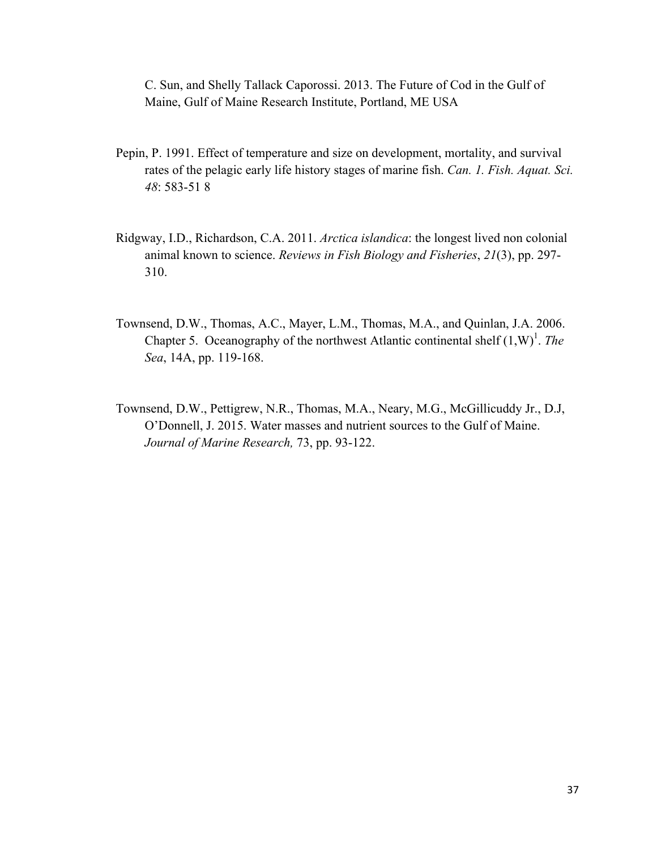C. Sun, and Shelly Tallack Caporossi. 2013. The Future of Cod in the Gulf of Maine, Gulf of Maine Research Institute, Portland, ME USA

- Pepin, P. 1991. Effect of temperature and size on development, mortality, and survival rates of the pelagic early life history stages of marine fish. *Can. 1. Fish. Aquat. Sci. 48*: 583-51 8
- Ridgway, I.D., Richardson, C.A. 2011. *Arctica islandica*: the longest lived non colonial animal known to science. *Reviews in Fish Biology and Fisheries*, *21*(3), pp. 297- 310.
- Townsend, D.W., Thomas, A.C., Mayer, L.M., Thomas, M.A., and Quinlan, J.A. 2006. Chapter 5. Oceanography of the northwest Atlantic continental shelf  $(1,W)^1$ . *The Sea*, 14A, pp. 119-168.
- Townsend, D.W., Pettigrew, N.R., Thomas, M.A., Neary, M.G., McGillicuddy Jr., D.J, O'Donnell, J. 2015. Water masses and nutrient sources to the Gulf of Maine. *Journal of Marine Research,* 73, pp. 93-122.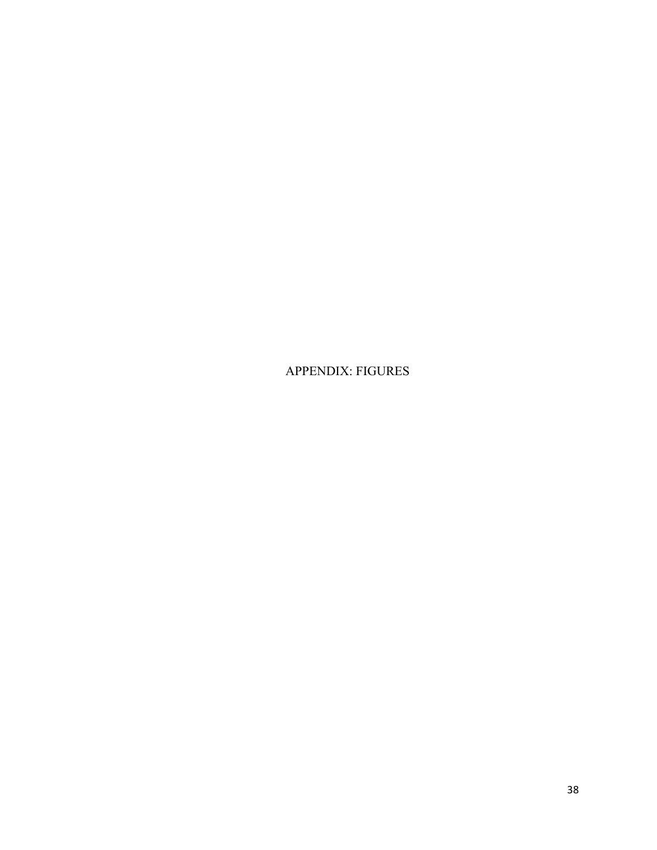APPENDIX: FIGURES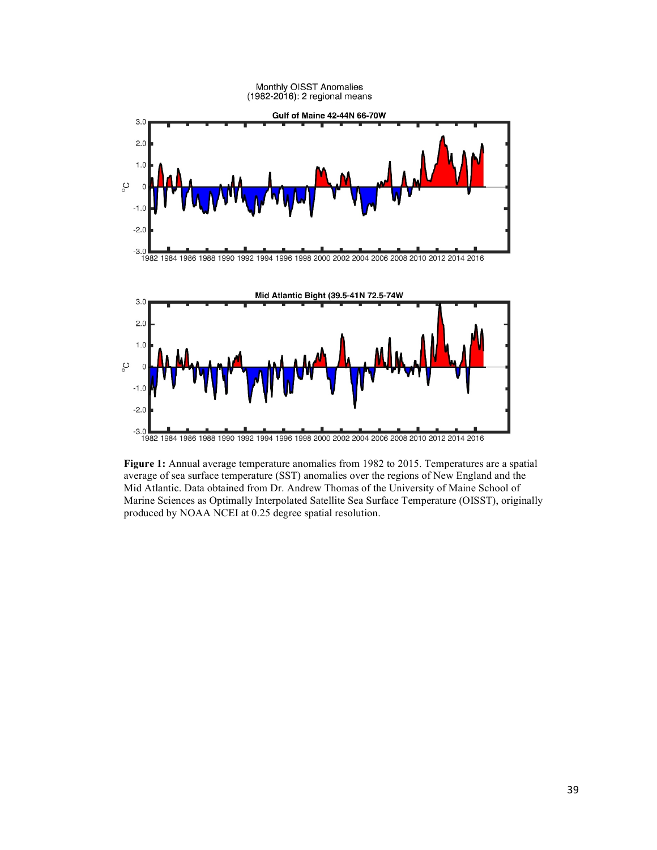

**Figure 1:** Annual average temperature anomalies from 1982 to 2015. Temperatures are a spatial average of sea surface temperature (SST) anomalies over the regions of New England and the Mid Atlantic. Data obtained from Dr. Andrew Thomas of the University of Maine School of Marine Sciences as Optimally Interpolated Satellite Sea Surface Temperature (OISST), originally produced by NOAA NCEI at 0.25 degree spatial resolution.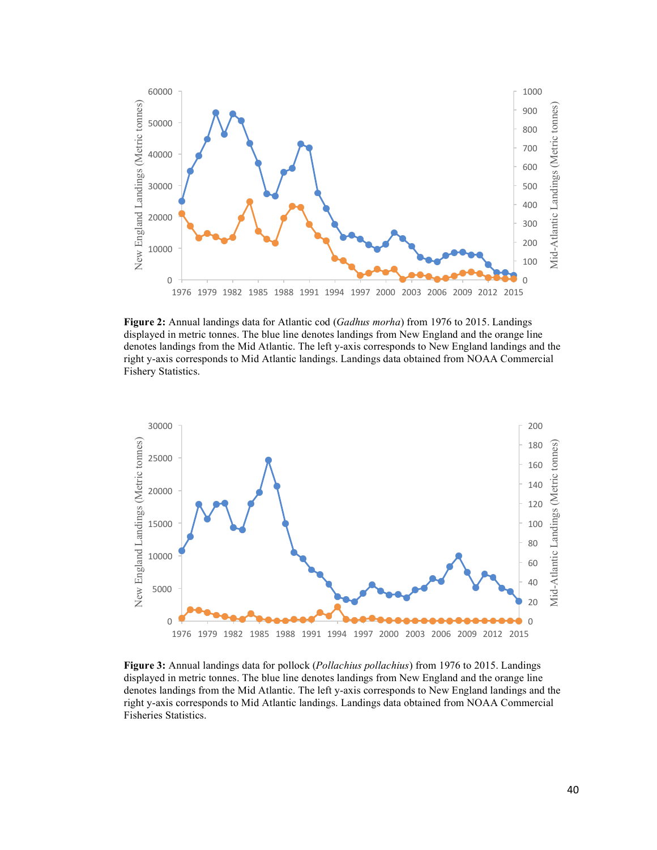

**Figure 2:** Annual landings data for Atlantic cod (*Gadhus morha*) from 1976 to 2015. Landings displayed in metric tonnes. The blue line denotes landings from New England and the orange line denotes landings from the Mid Atlantic. The left y-axis corresponds to New England landings and the right y-axis corresponds to Mid Atlantic landings. Landings data obtained from NOAA Commercial Fishery Statistics.



**Figure 3:** Annual landings data for pollock (*Pollachius pollachius*) from 1976 to 2015. Landings displayed in metric tonnes. The blue line denotes landings from New England and the orange line denotes landings from the Mid Atlantic. The left y-axis corresponds to New England landings and the right y-axis corresponds to Mid Atlantic landings. Landings data obtained from NOAA Commercial Fisheries Statistics.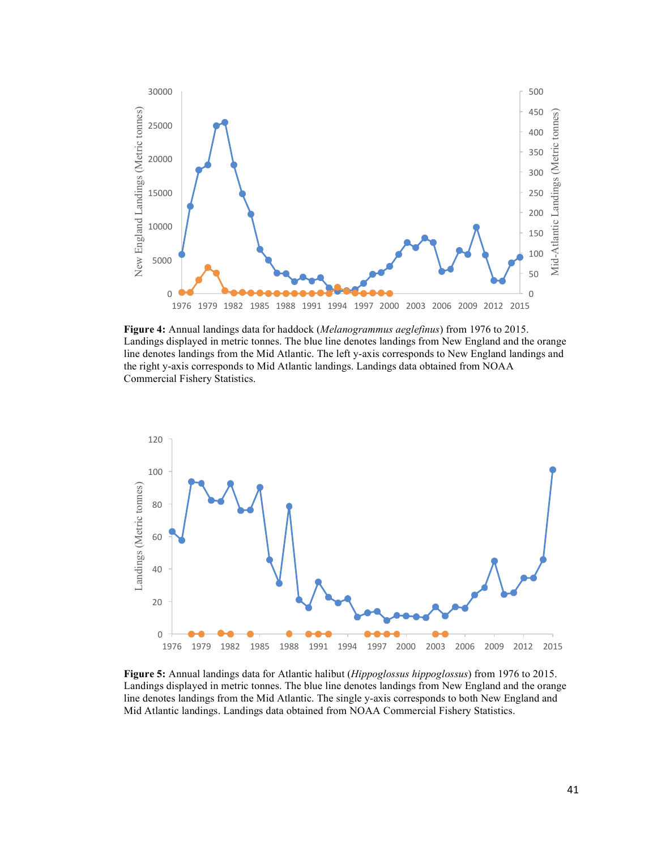

**Figure 4:** Annual landings data for haddock (*Melanogrammus aeglefinus*) from 1976 to 2015. Landings displayed in metric tonnes. The blue line denotes landings from New England and the orange line denotes landings from the Mid Atlantic. The left y-axis corresponds to New England landings and the right y-axis corresponds to Mid Atlantic landings. Landings data obtained from NOAA Commercial Fishery Statistics.



**Figure 5:** Annual landings data for Atlantic halibut (*Hippoglossus hippoglossus*) from 1976 to 2015. Landings displayed in metric tonnes. The blue line denotes landings from New England and the orange line denotes landings from the Mid Atlantic. The single y-axis corresponds to both New England and Mid Atlantic landings. Landings data obtained from NOAA Commercial Fishery Statistics.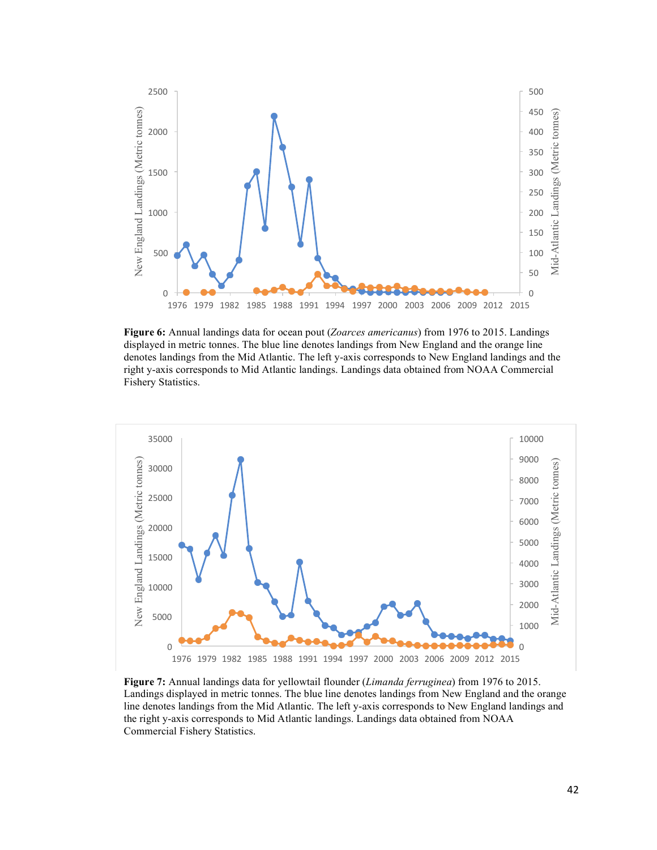

**Figure 6:** Annual landings data for ocean pout (*Zoarces americanus*) from 1976 to 2015. Landings displayed in metric tonnes. The blue line denotes landings from New England and the orange line denotes landings from the Mid Atlantic. The left y-axis corresponds to New England landings and the right y-axis corresponds to Mid Atlantic landings. Landings data obtained from NOAA Commercial Fishery Statistics.



**Figure 7:** Annual landings data for yellowtail flounder (*Limanda ferruginea*) from 1976 to 2015. Landings displayed in metric tonnes. The blue line denotes landings from New England and the orange line denotes landings from the Mid Atlantic. The left y-axis corresponds to New England landings and the right y-axis corresponds to Mid Atlantic landings. Landings data obtained from NOAA Commercial Fishery Statistics.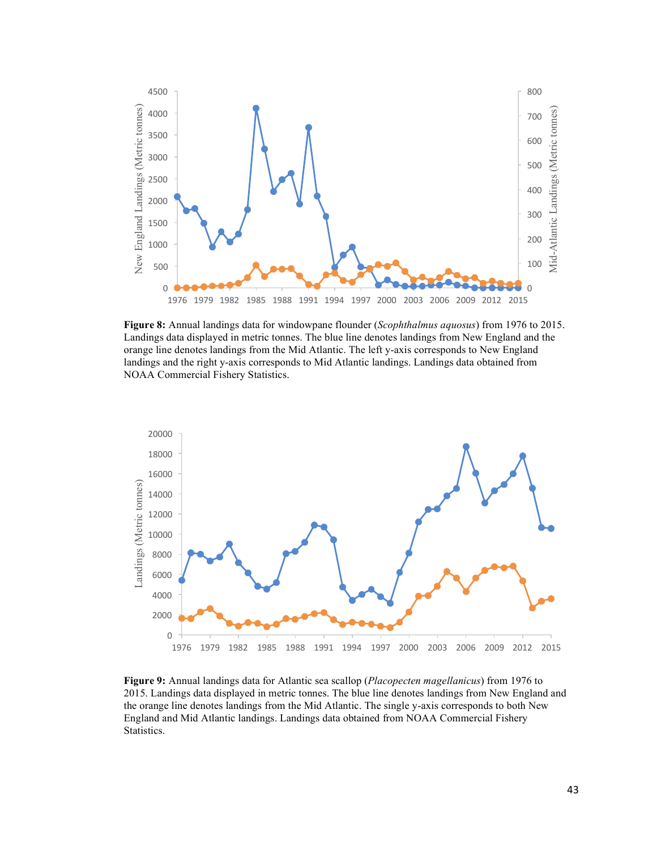

**Figure 8:** Annual landings data for windowpane flounder (*Scophthalmus aquosus*) from 1976 to 2015. Landings data displayed in metric tonnes. The blue line denotes landings from New England and the orange line denotes landings from the Mid Atlantic. The left y-axis corresponds to New England landings and the right y-axis corresponds to Mid Atlantic landings. Landings data obtained from NOAA Commercial Fishery Statistics.



**Figure 9:** Annual landings data for Atlantic sea scallop (*Placopecten magellanicus*) from 1976 to 2015. Landings data displayed in metric tonnes. The blue line denotes landings from New England and the orange line denotes landings from the Mid Atlantic. The single y-axis corresponds to both New England and Mid Atlantic landings. Landings data obtained from NOAA Commercial Fishery Statistics.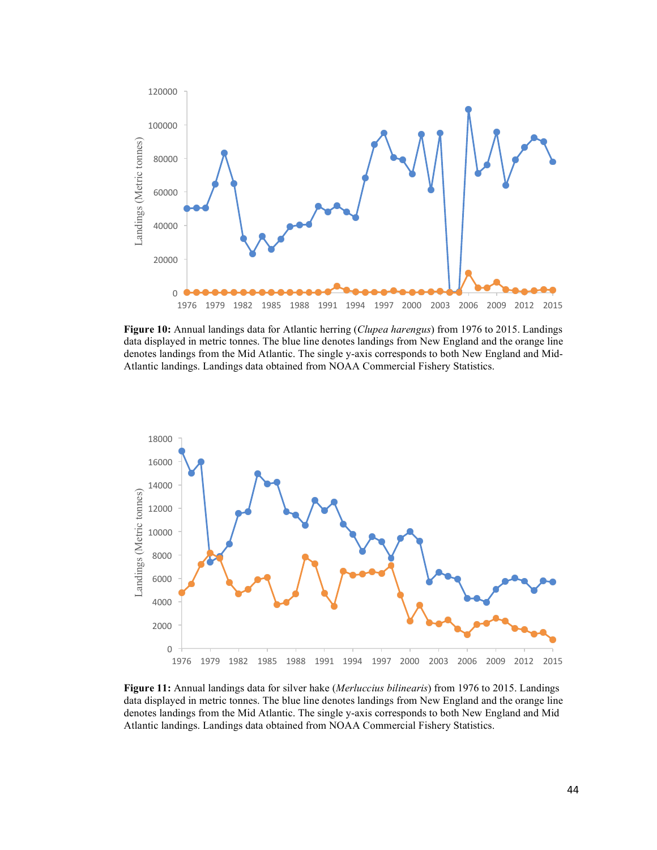

**Figure 10:** Annual landings data for Atlantic herring (*Clupea harengus*) from 1976 to 2015. Landings data displayed in metric tonnes. The blue line denotes landings from New England and the orange line denotes landings from the Mid Atlantic. The single y-axis corresponds to both New England and Mid-Atlantic landings. Landings data obtained from NOAA Commercial Fishery Statistics.



**Figure 11:** Annual landings data for silver hake (*Merluccius bilinearis*) from 1976 to 2015. Landings data displayed in metric tonnes. The blue line denotes landings from New England and the orange line denotes landings from the Mid Atlantic. The single y-axis corresponds to both New England and Mid Atlantic landings. Landings data obtained from NOAA Commercial Fishery Statistics.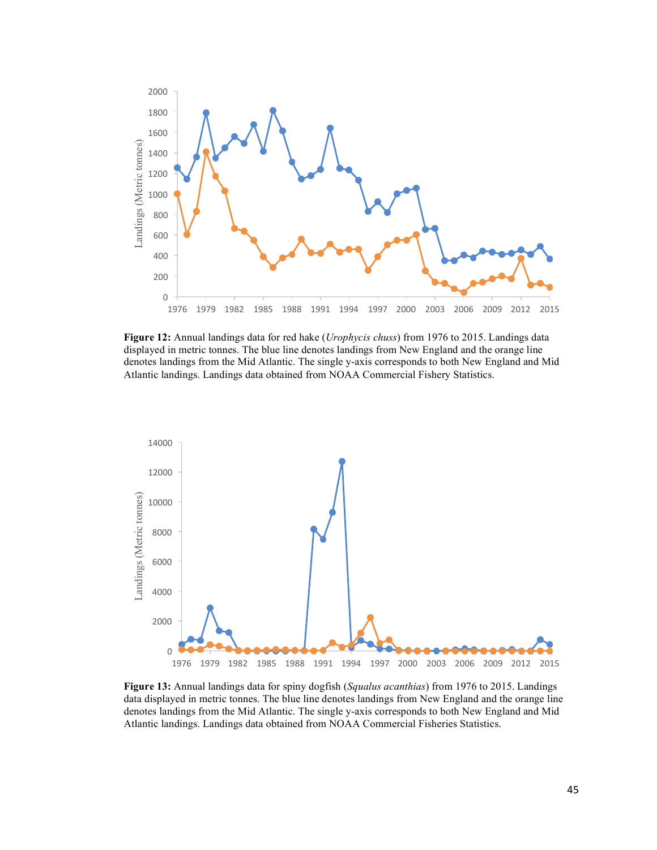

**Figure 12:** Annual landings data for red hake (*Urophycis chuss*) from 1976 to 2015. Landings data displayed in metric tonnes. The blue line denotes landings from New England and the orange line denotes landings from the Mid Atlantic. The single y-axis corresponds to both New England and Mid Atlantic landings. Landings data obtained from NOAA Commercial Fishery Statistics.



**Figure 13:** Annual landings data for spiny dogfish (*Squalus acanthias*) from 1976 to 2015. Landings data displayed in metric tonnes. The blue line denotes landings from New England and the orange line denotes landings from the Mid Atlantic. The single y-axis corresponds to both New England and Mid Atlantic landings. Landings data obtained from NOAA Commercial Fisheries Statistics.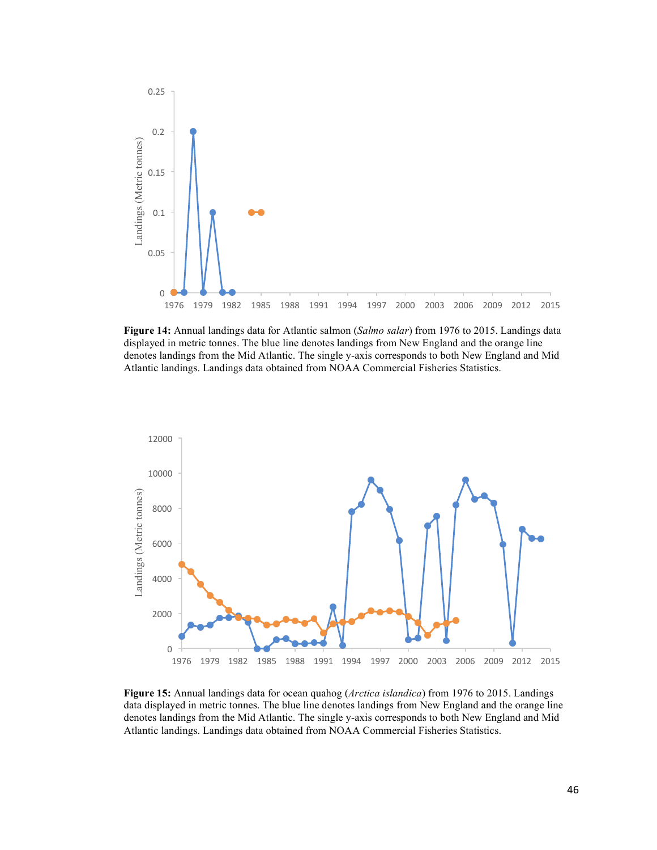

**Figure 14:** Annual landings data for Atlantic salmon (*Salmo salar*) from 1976 to 2015. Landings data displayed in metric tonnes. The blue line denotes landings from New England and the orange line denotes landings from the Mid Atlantic. The single y-axis corresponds to both New England and Mid Atlantic landings. Landings data obtained from NOAA Commercial Fisheries Statistics.



**Figure 15:** Annual landings data for ocean quahog (*Arctica islandica*) from 1976 to 2015. Landings data displayed in metric tonnes. The blue line denotes landings from New England and the orange line denotes landings from the Mid Atlantic. The single y-axis corresponds to both New England and Mid Atlantic landings. Landings data obtained from NOAA Commercial Fisheries Statistics.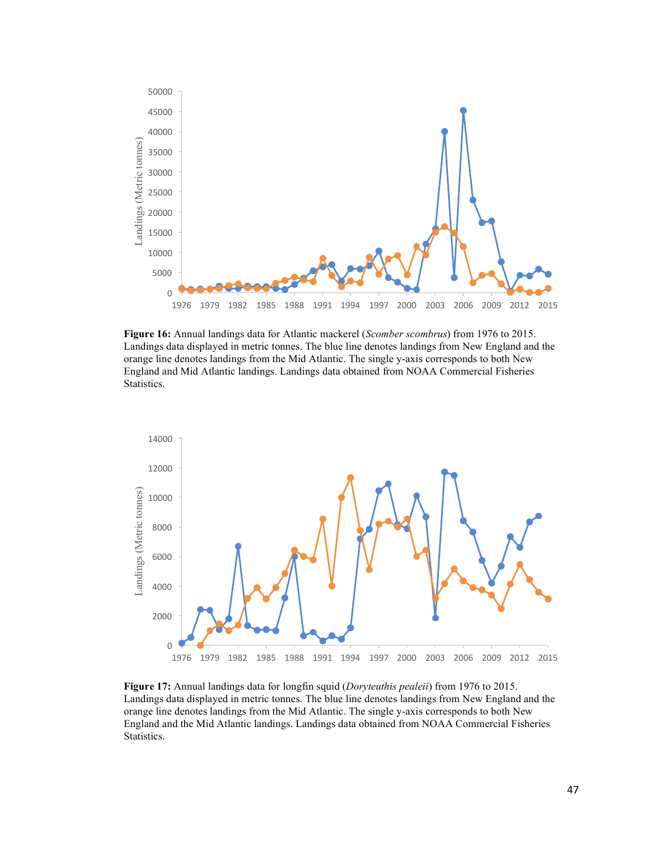

**Figure 16:** Annual landings data for Atlantic mackerel (*Scomber scombrus*) from 1976 to 2015. Landings data displayed in metric tonnes. The blue line denotes landings from New England and the orange line denotes landings from the Mid Atlantic. The single y-axis corresponds to both New England and Mid Atlantic landings. Landings data obtained from NOAA Commercial Fisheries Statistics.



**Figure 17:** Annual landings data for longfin squid (*Doryteuthis pealeii*) from 1976 to 2015. Landings data displayed in metric tonnes. The blue line denotes landings from New England and the orange line denotes landings from the Mid Atlantic. The single y-axis corresponds to both New England and the Mid Atlantic landings. Landings data obtained from NOAA Commercial Fisheries Statistics.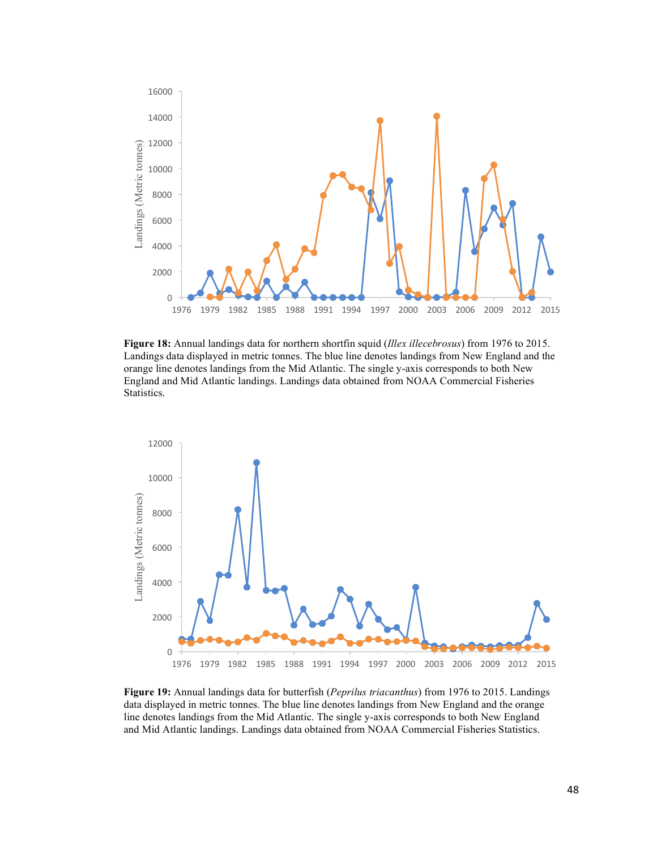

**Figure 18:** Annual landings data for northern shortfin squid (*Illex illecebrosus*) from 1976 to 2015. Landings data displayed in metric tonnes. The blue line denotes landings from New England and the orange line denotes landings from the Mid Atlantic. The single y-axis corresponds to both New England and Mid Atlantic landings. Landings data obtained from NOAA Commercial Fisheries Statistics.



**Figure 19:** Annual landings data for butterfish (*Peprilus triacanthus*) from 1976 to 2015. Landings data displayed in metric tonnes. The blue line denotes landings from New England and the orange line denotes landings from the Mid Atlantic. The single y-axis corresponds to both New England and Mid Atlantic landings. Landings data obtained from NOAA Commercial Fisheries Statistics.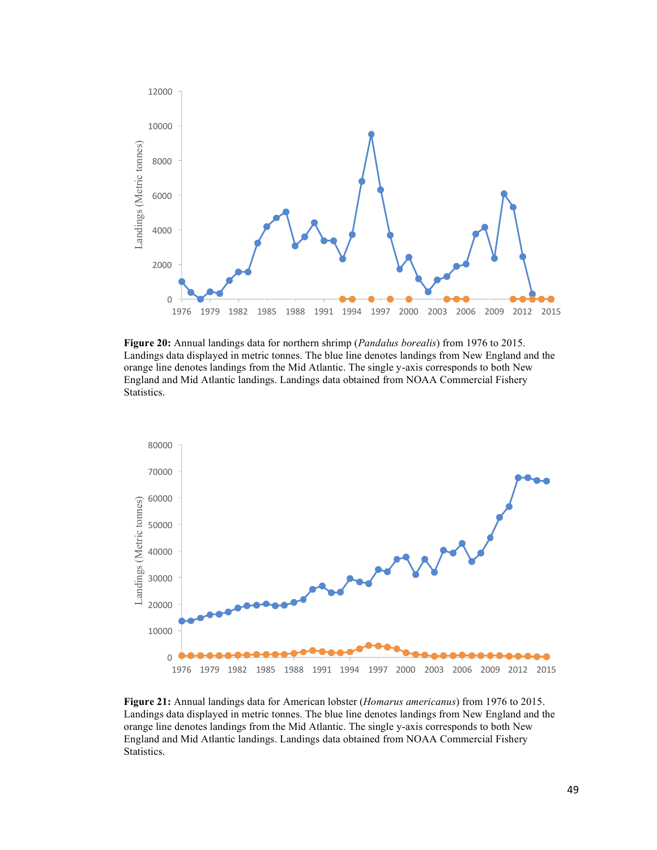

**Figure 20:** Annual landings data for northern shrimp (*Pandalus borealis*) from 1976 to 2015. Landings data displayed in metric tonnes. The blue line denotes landings from New England and the orange line denotes landings from the Mid Atlantic. The single y-axis corresponds to both New England and Mid Atlantic landings. Landings data obtained from NOAA Commercial Fishery Statistics.



**Figure 21:** Annual landings data for American lobster (*Homarus americanus*) from 1976 to 2015. Landings data displayed in metric tonnes. The blue line denotes landings from New England and the orange line denotes landings from the Mid Atlantic. The single y-axis corresponds to both New England and Mid Atlantic landings. Landings data obtained from NOAA Commercial Fishery Statistics.